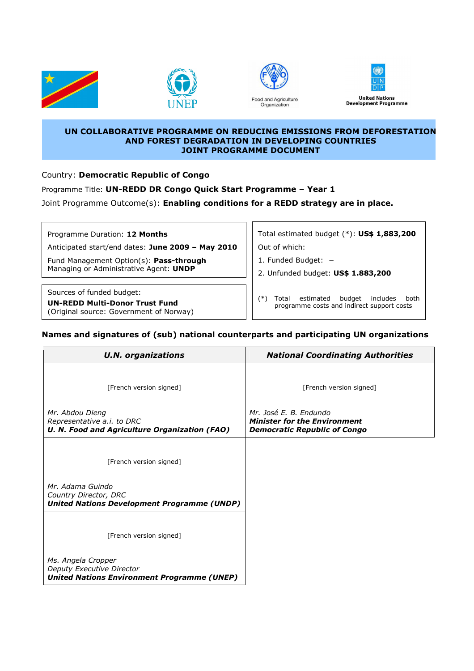







**UN COLLABORATIVE PROGRAMME ON REDUCING EMISSIONS FROM DEFORESTATION AND FOREST DEGRADATION IN DEVELOPING COUNTRIES JOINT PROGRAMME DOCUMENT** 

Country: **Democratic Republic of Congo**

Programme Title: **UN-REDD DR Congo Quick Start Programme – Year 1**

Joint Programme Outcome(s): **Enabling conditions for a REDD strategy are in place.**

Programme Duration: **12 Months**

Anticipated start/end dates: **June 2009 – May 2010**

Fund Management Option(s): **Pass-through** Managing or Administrative Agent: **UNDP** 

Sources of funded budget:

**UN-REDD Multi-Donor Trust Fund**  (Original source: Government of Norway) Total estimated budget (\*): **US\$ 1,883,200** Out of which:

1. Funded Budget: −

2. Unfunded budget: **US\$ 1.883,200**

(\*) Total estimated budget includes both programme costs and indirect support costs

## **Names and signatures of (sub) national counterparts and participating UN organizations**

| <b>U.N. organizations</b>                                                                             | <b>National Coordinating Authorities</b>                                                             |
|-------------------------------------------------------------------------------------------------------|------------------------------------------------------------------------------------------------------|
| [French version signed]                                                                               | [French version signed]                                                                              |
| Mr. Abdou Dieng<br>Representative a.i. to DRC<br><b>U. N. Food and Agriculture Organization (FAO)</b> | Mr. José E. B. Endundo<br><b>Minister for the Environment</b><br><b>Democratic Republic of Congo</b> |
| [French version signed]                                                                               |                                                                                                      |
| Mr. Adama Guindo<br>Country Director, DRC<br><b>United Nations Development Programme (UNDP)</b>       |                                                                                                      |
| [French version signed]                                                                               |                                                                                                      |
| Ms. Angela Cropper<br>Deputy Executive Director<br><b>United Nations Environment Programme (UNEP)</b> |                                                                                                      |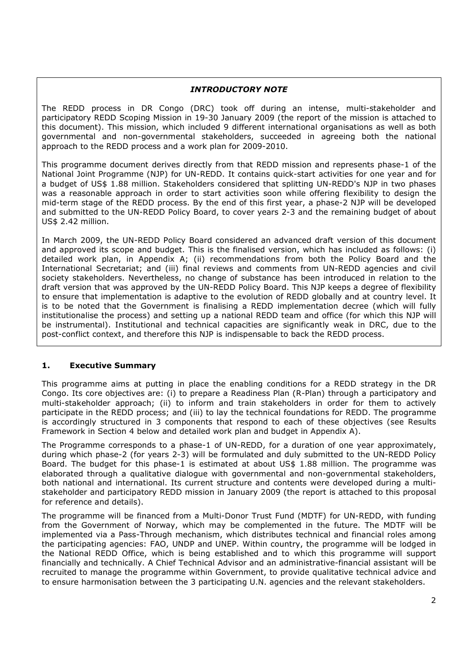## *INTRODUCTORY NOTE*

The REDD process in DR Congo (DRC) took off during an intense, multi-stakeholder and participatory REDD Scoping Mission in 19-30 January 2009 (the report of the mission is attached to this document). This mission, which included 9 different international organisations as well as both governmental and non-governmental stakeholders, succeeded in agreeing both the national approach to the REDD process and a work plan for 2009-2010.

This programme document derives directly from that REDD mission and represents phase-1 of the National Joint Programme (NJP) for UN-REDD. It contains quick-start activities for one year and for a budget of US\$ 1.88 million. Stakeholders considered that splitting UN-REDD's NJP in two phases was a reasonable approach in order to start activities soon while offering flexibility to design the mid-term stage of the REDD process. By the end of this first year, a phase-2 NJP will be developed and submitted to the UN-REDD Policy Board, to cover years 2-3 and the remaining budget of about US\$ 2.42 million.

In March 2009, the UN-REDD Policy Board considered an advanced draft version of this document and approved its scope and budget. This is the finalised version, which has included as follows: (i) detailed work plan, in Appendix A; (ii) recommendations from both the Policy Board and the International Secretariat; and (iii) final reviews and comments from UN-REDD agencies and civil society stakeholders. Nevertheless, no change of substance has been introduced in relation to the draft version that was approved by the UN-REDD Policy Board. This NJP keeps a degree of flexibility to ensure that implementation is adaptive to the evolution of REDD globally and at country level. It is to be noted that the Government is finalising a REDD implementation decree (which will fully institutionalise the process) and setting up a national REDD team and office (for which this NJP will be instrumental). Institutional and technical capacities are significantly weak in DRC, due to the post-conflict context, and therefore this NJP is indispensable to back the REDD process.

### **1. Executive Summary**

This programme aims at putting in place the enabling conditions for a REDD strategy in the DR Congo. Its core objectives are: (i) to prepare a Readiness Plan (R-Plan) through a participatory and multi-stakeholder approach; (ii) to inform and train stakeholders in order for them to actively participate in the REDD process; and (iii) to lay the technical foundations for REDD. The programme is accordingly structured in 3 components that respond to each of these objectives (see Results Framework in Section 4 below and detailed work plan and budget in Appendix A).

The Programme corresponds to a phase-1 of UN-REDD, for a duration of one year approximately, during which phase-2 (for years 2-3) will be formulated and duly submitted to the UN-REDD Policy Board. The budget for this phase-1 is estimated at about US\$ 1.88 million. The programme was elaborated through a qualitative dialogue with governmental and non-governmental stakeholders, both national and international. Its current structure and contents were developed during a multistakeholder and participatory REDD mission in January 2009 (the report is attached to this proposal for reference and details).

The programme will be financed from a Multi-Donor Trust Fund (MDTF) for UN-REDD, with funding from the Government of Norway, which may be complemented in the future. The MDTF will be implemented via a Pass-Through mechanism, which distributes technical and financial roles among the participating agencies: FAO, UNDP and UNEP. Within country, the programme will be lodged in the National REDD Office, which is being established and to which this programme will support financially and technically. A Chief Technical Advisor and an administrative-financial assistant will be recruited to manage the programme within Government, to provide qualitative technical advice and to ensure harmonisation between the 3 participating U.N. agencies and the relevant stakeholders.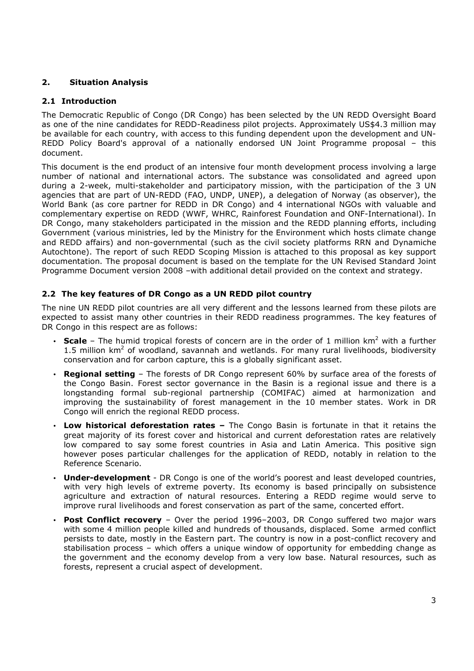# **2. Situation Analysis**

## **2.1 Introduction**

The Democratic Republic of Congo (DR Congo) has been selected by the UN REDD Oversight Board as one of the nine candidates for REDD-Readiness pilot projects. Approximately US\$4.3 million may be available for each country, with access to this funding dependent upon the development and UN-REDD Policy Board's approval of a nationally endorsed UN Joint Programme proposal – this document.

This document is the end product of an intensive four month development process involving a large number of national and international actors. The substance was consolidated and agreed upon during a 2-week, multi-stakeholder and participatory mission, with the participation of the 3 UN agencies that are part of UN-REDD (FAO, UNDP, UNEP), a delegation of Norway (as observer), the World Bank (as core partner for REDD in DR Congo) and 4 international NGOs with valuable and complementary expertise on REDD (WWF, WHRC, Rainforest Foundation and ONF-International). In DR Congo, many stakeholders participated in the mission and the REDD planning efforts, including Government (various ministries, led by the Ministry for the Environment which hosts climate change and REDD affairs) and non-governmental (such as the civil society platforms RRN and Dynamiche Autochtone). The report of such REDD Scoping Mission is attached to this proposal as key support documentation. The proposal document is based on the template for the UN Revised Standard Joint Programme Document version 2008 –with additional detail provided on the context and strategy.

# **2.2 The key features of DR Congo as a UN REDD pilot country**

The nine UN REDD pilot countries are all very different and the lessons learned from these pilots are expected to assist many other countries in their REDD readiness programmes. The key features of DR Congo in this respect are as follows:

- Scale  $-$  The humid tropical forests of concern are in the order of 1 million  $km^2$  with a further 1.5 million  $km^2$  of woodland, savannah and wetlands. For many rural livelihoods, biodiversity conservation and for carbon capture, this is a globally significant asset.
- **Regional setting** The forests of DR Congo represent 60% by surface area of the forests of the Congo Basin. Forest sector governance in the Basin is a regional issue and there is a longstanding formal sub-regional partnership (COMIFAC) aimed at harmonization and improving the sustainability of forest management in the 10 member states. Work in DR Congo will enrich the regional REDD process.
- **Low historical deforestation rates** The Congo Basin is fortunate in that it retains the great majority of its forest cover and historical and current deforestation rates are relatively low compared to say some forest countries in Asia and Latin America. This positive sign however poses particular challenges for the application of REDD, notably in relation to the Reference Scenario.
- **Under-development** DR Congo is one of the world's poorest and least developed countries, with very high levels of extreme poverty. Its economy is based principally on subsistence agriculture and extraction of natural resources. Entering a REDD regime would serve to improve rural livelihoods and forest conservation as part of the same, concerted effort.
- **Post Conflict recovery** Over the period 1996–2003, DR Congo suffered two major wars with some 4 million people killed and hundreds of thousands, displaced. Some armed conflict persists to date, mostly in the Eastern part. The country is now in a post-conflict recovery and stabilisation process – which offers a unique window of opportunity for embedding change as the government and the economy develop from a very low base. Natural resources, such as forests, represent a crucial aspect of development.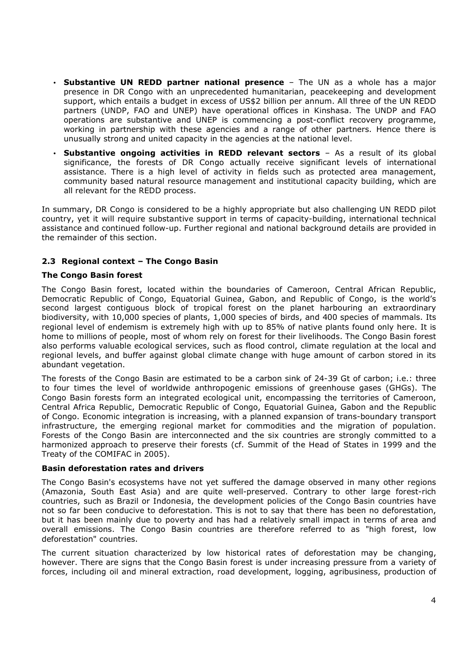- **Substantive UN REDD partner national presence** The UN as a whole has a major presence in DR Congo with an unprecedented humanitarian, peacekeeping and development support, which entails a budget in excess of US\$2 billion per annum. All three of the UN REDD partners (UNDP, FAO and UNEP) have operational offices in Kinshasa. The UNDP and FAO operations are substantive and UNEP is commencing a post-conflict recovery programme, working in partnership with these agencies and a range of other partners. Hence there is unusually strong and united capacity in the agencies at the national level.
- **Substantive ongoing activities in REDD relevant sectors** As a result of its global significance, the forests of DR Congo actually receive significant levels of international assistance. There is a high level of activity in fields such as protected area management, community based natural resource management and institutional capacity building, which are all relevant for the REDD process.

In summary, DR Congo is considered to be a highly appropriate but also challenging UN REDD pilot country, yet it will require substantive support in terms of capacity-building, international technical assistance and continued follow-up. Further regional and national background details are provided in the remainder of this section.

# **2.3 Regional context – The Congo Basin**

### **The Congo Basin forest**

The Congo Basin forest, located within the boundaries of Cameroon, Central African Republic, Democratic Republic of Congo, Equatorial Guinea, Gabon, and Republic of Congo, is the world's second largest contiguous block of tropical forest on the planet harbouring an extraordinary biodiversity, with 10,000 species of plants, 1,000 species of birds, and 400 species of mammals. Its regional level of endemism is extremely high with up to 85% of native plants found only here. It is home to millions of people, most of whom rely on forest for their livelihoods. The Congo Basin forest also performs valuable ecological services, such as flood control, climate regulation at the local and regional levels, and buffer against global climate change with huge amount of carbon stored in its abundant vegetation.

The forests of the Congo Basin are estimated to be a carbon sink of 24-39 Gt of carbon; i.e.: three to four times the level of worldwide anthropogenic emissions of greenhouse gases (GHGs). The Congo Basin forests form an integrated ecological unit, encompassing the territories of Cameroon, Central Africa Republic, Democratic Republic of Congo, Equatorial Guinea, Gabon and the Republic of Congo. Economic integration is increasing, with a planned expansion of trans-boundary transport infrastructure, the emerging regional market for commodities and the migration of population. Forests of the Congo Basin are interconnected and the six countries are strongly committed to a harmonized approach to preserve their forests (cf. Summit of the Head of States in 1999 and the Treaty of the COMIFAC in 2005).

### **Basin deforestation rates and drivers**

The Congo Basin's ecosystems have not yet suffered the damage observed in many other regions (Amazonia, South East Asia) and are quite well-preserved. Contrary to other large forest-rich countries, such as Brazil or Indonesia, the development policies of the Congo Basin countries have not so far been conducive to deforestation. This is not to say that there has been no deforestation, but it has been mainly due to poverty and has had a relatively small impact in terms of area and overall emissions. The Congo Basin countries are therefore referred to as "high forest, low deforestation" countries.

The current situation characterized by low historical rates of deforestation may be changing, however. There are signs that the Congo Basin forest is under increasing pressure from a variety of forces, including oil and mineral extraction, road development, logging, agribusiness, production of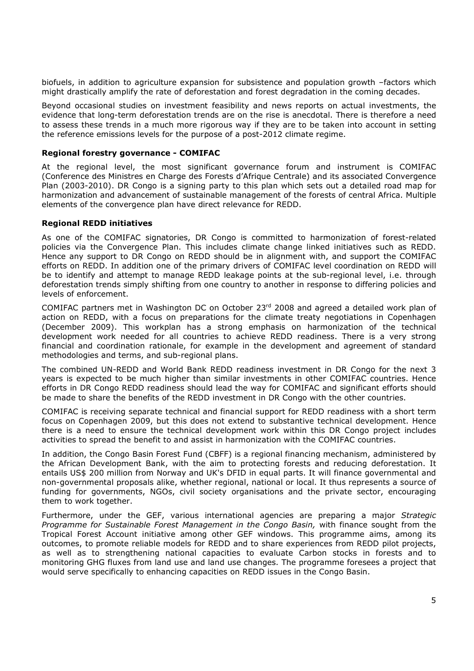biofuels, in addition to agriculture expansion for subsistence and population growth –factors which might drastically amplify the rate of deforestation and forest degradation in the coming decades.

Beyond occasional studies on investment feasibility and news reports on actual investments, the evidence that long-term deforestation trends are on the rise is anecdotal. There is therefore a need to assess these trends in a much more rigorous way if they are to be taken into account in setting the reference emissions levels for the purpose of a post-2012 climate regime.

### **Regional forestry governance - COMIFAC**

At the regional level, the most significant governance forum and instrument is COMIFAC (Conference des Ministres en Charge des Forests d'Afrique Centrale) and its associated Convergence Plan (2003-2010). DR Congo is a signing party to this plan which sets out a detailed road map for harmonization and advancement of sustainable management of the forests of central Africa. Multiple elements of the convergence plan have direct relevance for REDD.

#### **Regional REDD initiatives**

As one of the COMIFAC signatories, DR Congo is committed to harmonization of forest-related policies via the Convergence Plan. This includes climate change linked initiatives such as REDD. Hence any support to DR Congo on REDD should be in alignment with, and support the COMIFAC efforts on REDD. In addition one of the primary drivers of COMIFAC level coordination on REDD will be to identify and attempt to manage REDD leakage points at the sub-regional level, i.e. through deforestation trends simply shifting from one country to another in response to differing policies and levels of enforcement.

COMIFAC partners met in Washington DC on October 23rd 2008 and agreed a detailed work plan of action on REDD, with a focus on preparations for the climate treaty negotiations in Copenhagen (December 2009). This workplan has a strong emphasis on harmonization of the technical development work needed for all countries to achieve REDD readiness. There is a very strong financial and coordination rationale, for example in the development and agreement of standard methodologies and terms, and sub-regional plans.

The combined UN-REDD and World Bank REDD readiness investment in DR Congo for the next 3 years is expected to be much higher than similar investments in other COMIFAC countries. Hence efforts in DR Congo REDD readiness should lead the way for COMIFAC and significant efforts should be made to share the benefits of the REDD investment in DR Congo with the other countries.

COMIFAC is receiving separate technical and financial support for REDD readiness with a short term focus on Copenhagen 2009, but this does not extend to substantive technical development. Hence there is a need to ensure the technical development work within this DR Congo project includes activities to spread the benefit to and assist in harmonization with the COMIFAC countries.

In addition, the Congo Basin Forest Fund (CBFF) is a regional financing mechanism, administered by the African Development Bank, with the aim to protecting forests and reducing deforestation. It entails US\$ 200 million from Norway and UK's DFID in equal parts. It will finance governmental and non-governmental proposals alike, whether regional, national or local. It thus represents a source of funding for governments, NGOs, civil society organisations and the private sector, encouraging them to work together.

Furthermore, under the GEF, various international agencies are preparing a major *Strategic Programme for Sustainable Forest Management in the Congo Basin,* with finance sought from the Tropical Forest Account initiative among other GEF windows. This programme aims, among its outcomes, to promote reliable models for REDD and to share experiences from REDD pilot projects, as well as to strengthening national capacities to evaluate Carbon stocks in forests and to monitoring GHG fluxes from land use and land use changes. The programme foresees a project that would serve specifically to enhancing capacities on REDD issues in the Congo Basin.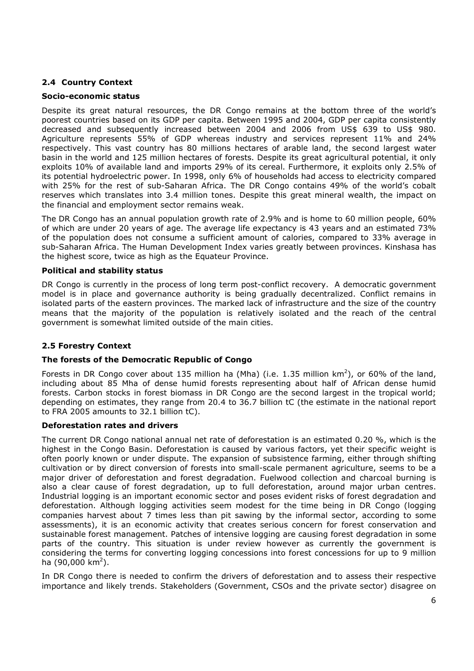# **2.4 Country Context**

### **Socio-economic status**

Despite its great natural resources, the DR Congo remains at the bottom three of the world's poorest countries based on its GDP per capita. Between 1995 and 2004, GDP per capita consistently decreased and subsequently increased between 2004 and 2006 from US\$ 639 to US\$ 980. Agriculture represents 55% of GDP whereas industry and services represent 11% and 24% respectively. This vast country has 80 millions hectares of arable land, the second largest water basin in the world and 125 million hectares of forests. Despite its great agricultural potential, it only exploits 10% of available land and imports 29% of its cereal. Furthermore, it exploits only 2.5% of its potential hydroelectric power. In 1998, only 6% of households had access to electricity compared with 25% for the rest of sub-Saharan Africa. The DR Congo contains 49% of the world's cobalt reserves which translates into 3.4 million tones. Despite this great mineral wealth, the impact on the financial and employment sector remains weak.

The DR Congo has an annual population growth rate of 2.9% and is home to 60 million people, 60% of which are under 20 years of age. The average life expectancy is 43 years and an estimated 73% of the population does not consume a sufficient amount of calories, compared to 33% average in sub-Saharan Africa. The Human Development Index varies greatly between provinces. Kinshasa has the highest score, twice as high as the Equateur Province.

#### **Political and stability status**

DR Congo is currently in the process of long term post-conflict recovery. A democratic government model is in place and governance authority is being gradually decentralized. Conflict remains in isolated parts of the eastern provinces. The marked lack of infrastructure and the size of the country means that the majority of the population is relatively isolated and the reach of the central government is somewhat limited outside of the main cities.

### **2.5 Forestry Context**

#### **The forests of the Democratic Republic of Congo**

Forests in DR Congo cover about 135 million ha (Mha) (i.e. 1.35 million  $km^2$ ), or 60% of the land, including about 85 Mha of dense humid forests representing about half of African dense humid forests. Carbon stocks in forest biomass in DR Congo are the second largest in the tropical world; depending on estimates, they range from 20.4 to 36.7 billion tC (the estimate in the national report to FRA 2005 amounts to 32.1 billion tC).

#### **Deforestation rates and drivers**

The current DR Congo national annual net rate of deforestation is an estimated 0.20 %, which is the highest in the Congo Basin. Deforestation is caused by various factors, yet their specific weight is often poorly known or under dispute. The expansion of subsistence farming, either through shifting cultivation or by direct conversion of forests into small-scale permanent agriculture, seems to be a major driver of deforestation and forest degradation. Fuelwood collection and charcoal burning is also a clear cause of forest degradation, up to full deforestation, around major urban centres. Industrial logging is an important economic sector and poses evident risks of forest degradation and deforestation. Although logging activities seem modest for the time being in DR Congo (logging companies harvest about 7 times less than pit sawing by the informal sector, according to some assessments), it is an economic activity that creates serious concern for forest conservation and sustainable forest management. Patches of intensive logging are causing forest degradation in some parts of the country. This situation is under review however as currently the government is considering the terms for converting logging concessions into forest concessions for up to 9 million ha (90,000 km<sup>2</sup>).

In DR Congo there is needed to confirm the drivers of deforestation and to assess their respective importance and likely trends. Stakeholders (Government, CSOs and the private sector) disagree on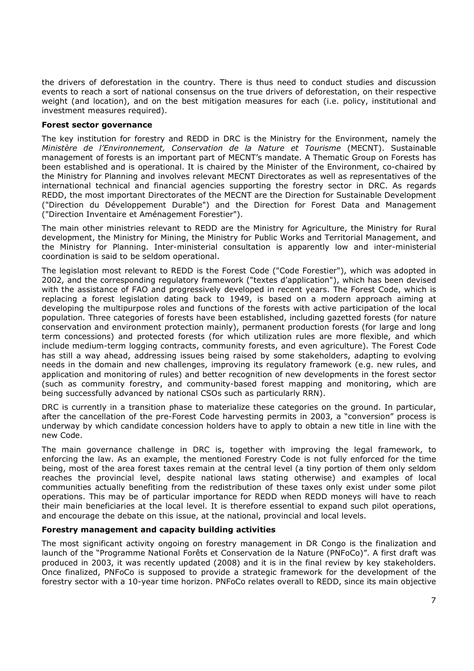the drivers of deforestation in the country. There is thus need to conduct studies and discussion events to reach a sort of national consensus on the true drivers of deforestation, on their respective weight (and location), and on the best mitigation measures for each (i.e. policy, institutional and investment measures required).

### **Forest sector governance**

The key institution for forestry and REDD in DRC is the Ministry for the Environment, namely the *Ministère de l'Environnement, Conservation de la Nature et Tourisme* (MECNT). Sustainable management of forests is an important part of MECNT's mandate. A Thematic Group on Forests has been established and is operational. It is chaired by the Minister of the Environment, co-chaired by the Ministry for Planning and involves relevant MECNT Directorates as well as representatives of the international technical and financial agencies supporting the forestry sector in DRC. As regards REDD, the most important Directorates of the MECNT are the Direction for Sustainable Development ("Direction du Développement Durable") and the Direction for Forest Data and Management ("Direction Inventaire et Aménagement Forestier").

The main other ministries relevant to REDD are the Ministry for Agriculture, the Ministry for Rural development, the Ministry for Mining, the Ministry for Public Works and Territorial Management, and the Ministry for Planning. Inter-ministerial consultation is apparently low and inter-ministerial coordination is said to be seldom operational.

The legislation most relevant to REDD is the Forest Code ("Code Forestier"), which was adopted in 2002, and the corresponding regulatory framework ("textes d'application"), which has been devised with the assistance of FAO and progressively developed in recent years. The Forest Code, which is replacing a forest legislation dating back to 1949, is based on a modern approach aiming at developing the multipurpose roles and functions of the forests with active participation of the local population. Three categories of forests have been established, including gazetted forests (for nature conservation and environment protection mainly), permanent production forests (for large and long term concessions) and protected forests (for which utilization rules are more flexible, and which include medium-term logging contracts, community forests, and even agriculture). The Forest Code has still a way ahead, addressing issues being raised by some stakeholders, adapting to evolving needs in the domain and new challenges, improving its regulatory framework (e.g. new rules, and application and monitoring of rules) and better recognition of new developments in the forest sector (such as community forestry, and community-based forest mapping and monitoring, which are being successfully advanced by national CSOs such as particularly RRN).

DRC is currently in a transition phase to materialize these categories on the ground. In particular, after the cancellation of the pre-Forest Code harvesting permits in 2003, a "conversion" process is underway by which candidate concession holders have to apply to obtain a new title in line with the new Code.

The main governance challenge in DRC is, together with improving the legal framework, to enforcing the law. As an example, the mentioned Forestry Code is not fully enforced for the time being, most of the area forest taxes remain at the central level (a tiny portion of them only seldom reaches the provincial level, despite national laws stating otherwise) and examples of local communities actually benefiting from the redistribution of these taxes only exist under some pilot operations. This may be of particular importance for REDD when REDD moneys will have to reach their main beneficiaries at the local level. It is therefore essential to expand such pilot operations, and encourage the debate on this issue, at the national, provincial and local levels.

# **Forestry management and capacity building activities**

The most significant activity ongoing on forestry management in DR Congo is the finalization and launch of the "Programme National Forêts et Conservation de la Nature (PNFoCo)". A first draft was produced in 2003, it was recently updated (2008) and it is in the final review by key stakeholders. Once finalized, PNFoCo is supposed to provide a strategic framework for the development of the forestry sector with a 10-year time horizon. PNFoCo relates overall to REDD, since its main objective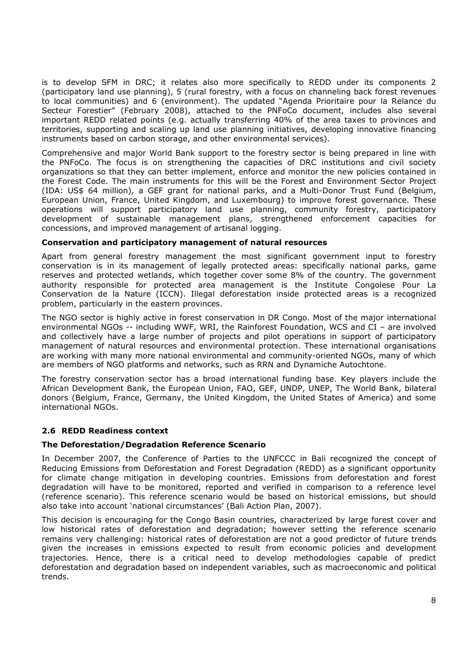is to develop SFM in DRC; it relates also more specifically to REDD under its components 2 (participatory land use planning), 5 (rural forestry, with a focus on channeling back forest revenues to local communities) and 6 (environment). The updated "Agenda Prioritaire pour la Relance du Secteur Forestier" (February 2008), attached to the PNFoCo document, includes also several important REDD related points (e.g. actually transferring 40% of the area taxes to provinces and territories, supporting and scaling up land use planning initiatives, developing innovative financing instruments based on carbon storage, and other environmental services).

Comprehensive and major World Bank support to the forestry sector is being prepared in line with the PNFoCo. The focus is on strengthening the capacities of DRC institutions and civil society organizations so that they can better implement, enforce and monitor the new policies contained in the Forest Code. The main instruments for this will be the Forest and Environment Sector Project (IDA: US\$ 64 million), a GEF grant for national parks, and a Multi-Donor Trust Fund (Belgium, European Union, France, United Kingdom, and Luxembourg) to improve forest governance. These operations will support participatory land use planning, community forestry, participatory development of sustainable management plans, strengthened enforcement capacities for concessions, and improved management of artisanal logging.

### **Conservation and participatory management of natural resources**

Apart from general forestry management the most significant government input to forestry conservation is in its management of legally protected areas: specifically national parks, game reserves and protected wetlands, which together cover some 8% of the country. The government authority responsible for protected area management is the Institute Congolese Pour La Conservation de la Nature (ICCN). Illegal deforestation inside protected areas is a recognized problem, particularly in the eastern provinces.

The NGO sector is highly active in forest conservation in DR Congo. Most of the major international environmental NGOs -- including WWF, WRI, the Rainforest Foundation, WCS and CI – are involved and collectively have a large number of projects and pilot operations in support of participatory management of natural resources and environmental protection. These international organisations are working with many more national environmental and community-oriented NGOs, many of which are members of NGO platforms and networks, such as RRN and Dynamiche Autochtone.

The forestry conservation sector has a broad international funding base. Key players include the African Development Bank, the European Union, FAO, GEF, UNDP, UNEP, The World Bank, bilateral donors (Belgium, France, Germany, the United Kingdom, the United States of America) and some international NGOs.

# **2.6 REDD Readiness context**

### **The Deforestation/Degradation Reference Scenario**

In December 2007, the Conference of Parties to the UNFCCC in Bali recognized the concept of Reducing Emissions from Deforestation and Forest Degradation (REDD) as a significant opportunity for climate change mitigation in developing countries. Emissions from deforestation and forest degradation will have to be monitored, reported and verified in comparison to a reference level (reference scenario). This reference scenario would be based on historical emissions, but should also take into account 'national circumstances' (Bali Action Plan, 2007).

This decision is encouraging for the Congo Basin countries, characterized by large forest cover and low historical rates of deforestation and degradation; however setting the reference scenario remains very challenging: historical rates of deforestation are not a good predictor of future trends given the increases in emissions expected to result from economic policies and development trajectories. Hence, there is a critical need to develop methodologies capable of predict deforestation and degradation based on independent variables, such as macroeconomic and political trends.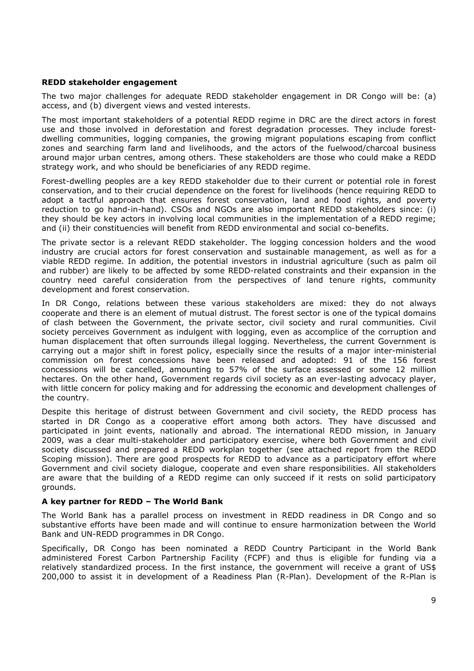#### **REDD stakeholder engagement**

The two major challenges for adequate REDD stakeholder engagement in DR Congo will be: (a) access, and (b) divergent views and vested interests.

The most important stakeholders of a potential REDD regime in DRC are the direct actors in forest use and those involved in deforestation and forest degradation processes. They include forestdwelling communities, logging companies, the growing migrant populations escaping from conflict zones and searching farm land and livelihoods, and the actors of the fuelwood/charcoal business around major urban centres, among others. These stakeholders are those who could make a REDD strategy work, and who should be beneficiaries of any REDD regime.

Forest-dwelling peoples are a key REDD stakeholder due to their current or potential role in forest conservation, and to their crucial dependence on the forest for livelihoods (hence requiring REDD to adopt a tactful approach that ensures forest conservation, land and food rights, and poverty reduction to go hand-in-hand). CSOs and NGOs are also important REDD stakeholders since: (i) they should be key actors in involving local communities in the implementation of a REDD regime; and (ii) their constituencies will benefit from REDD environmental and social co-benefits.

The private sector is a relevant REDD stakeholder. The logging concession holders and the wood industry are crucial actors for forest conservation and sustainable management, as well as for a viable REDD regime. In addition, the potential investors in industrial agriculture (such as palm oil and rubber) are likely to be affected by some REDD-related constraints and their expansion in the country need careful consideration from the perspectives of land tenure rights, community development and forest conservation.

In DR Congo, relations between these various stakeholders are mixed: they do not always cooperate and there is an element of mutual distrust. The forest sector is one of the typical domains of clash between the Government, the private sector, civil society and rural communities. Civil society perceives Government as indulgent with logging, even as accomplice of the corruption and human displacement that often surrounds illegal logging. Nevertheless, the current Government is carrying out a major shift in forest policy, especially since the results of a major inter-ministerial commission on forest concessions have been released and adopted: 91 of the 156 forest concessions will be cancelled, amounting to 57% of the surface assessed or some 12 million hectares. On the other hand, Government regards civil society as an ever-lasting advocacy player, with little concern for policy making and for addressing the economic and development challenges of the country.

Despite this heritage of distrust between Government and civil society, the REDD process has started in DR Congo as a cooperative effort among both actors. They have discussed and participated in joint events, nationally and abroad. The international REDD mission, in January 2009, was a clear multi-stakeholder and participatory exercise, where both Government and civil society discussed and prepared a REDD workplan together (see attached report from the REDD Scoping mission). There are good prospects for REDD to advance as a participatory effort where Government and civil society dialogue, cooperate and even share responsibilities. All stakeholders are aware that the building of a REDD regime can only succeed if it rests on solid participatory grounds.

#### **A key partner for REDD – The World Bank**

The World Bank has a parallel process on investment in REDD readiness in DR Congo and so substantive efforts have been made and will continue to ensure harmonization between the World Bank and UN-REDD programmes in DR Congo.

Specifically, DR Congo has been nominated a REDD Country Participant in the World Bank administered Forest Carbon Partnership Facility (FCPF) and thus is eligible for funding via a relatively standardized process. In the first instance, the government will receive a grant of US\$ 200,000 to assist it in development of a Readiness Plan (R-Plan). Development of the R-Plan is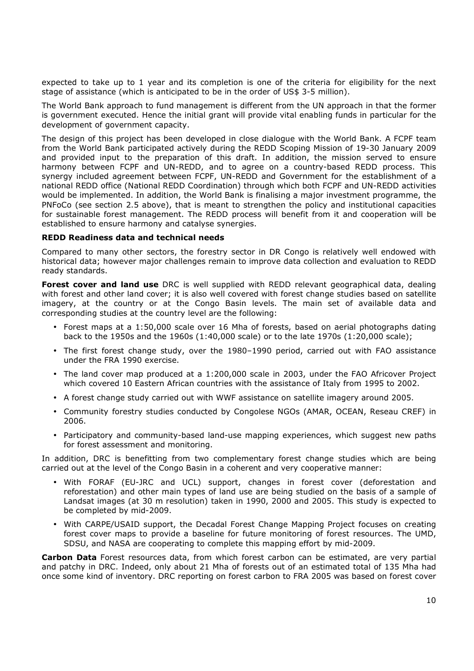expected to take up to 1 year and its completion is one of the criteria for eligibility for the next stage of assistance (which is anticipated to be in the order of US\$ 3-5 million).

The World Bank approach to fund management is different from the UN approach in that the former is government executed. Hence the initial grant will provide vital enabling funds in particular for the development of government capacity.

The design of this project has been developed in close dialogue with the World Bank. A FCPF team from the World Bank participated actively during the REDD Scoping Mission of 19-30 January 2009 and provided input to the preparation of this draft. In addition, the mission served to ensure harmony between FCPF and UN-REDD, and to agree on a country-based REDD process. This synergy included agreement between FCPF, UN-REDD and Government for the establishment of a national REDD office (National REDD Coordination) through which both FCPF and UN-REDD activities would be implemented. In addition, the World Bank is finalising a major investment programme, the PNFoCo (see section 2.5 above), that is meant to strengthen the policy and institutional capacities for sustainable forest management. The REDD process will benefit from it and cooperation will be established to ensure harmony and catalyse synergies.

### **REDD Readiness data and technical needs**

Compared to many other sectors, the forestry sector in DR Congo is relatively well endowed with historical data; however major challenges remain to improve data collection and evaluation to REDD ready standards.

**Forest cover and land use** DRC is well supplied with REDD relevant geographical data, dealing with forest and other land cover; it is also well covered with forest change studies based on satellite imagery, at the country or at the Congo Basin levels. The main set of available data and corresponding studies at the country level are the following:

- Forest maps at a 1:50,000 scale over 16 Mha of forests, based on aerial photographs dating back to the 1950s and the 1960s (1:40,000 scale) or to the late 1970s (1:20,000 scale);
- The first forest change study, over the 1980–1990 period, carried out with FAO assistance under the FRA 1990 exercise.
- The land cover map produced at a 1:200,000 scale in 2003, under the FAO Africover Project which covered 10 Eastern African countries with the assistance of Italy from 1995 to 2002.
- A forest change study carried out with WWF assistance on satellite imagery around 2005.
- Community forestry studies conducted by Congolese NGOs (AMAR, OCEAN, Reseau CREF) in 2006.
- Participatory and community-based land-use mapping experiences, which suggest new paths for forest assessment and monitoring.

In addition, DRC is benefitting from two complementary forest change studies which are being carried out at the level of the Congo Basin in a coherent and very cooperative manner:

- With FORAF (EU-JRC and UCL) support, changes in forest cover (deforestation and reforestation) and other main types of land use are being studied on the basis of a sample of Landsat images (at 30 m resolution) taken in 1990, 2000 and 2005. This study is expected to be completed by mid-2009.
- With CARPE/USAID support, the Decadal Forest Change Mapping Project focuses on creating forest cover maps to provide a baseline for future monitoring of forest resources. The UMD, SDSU, and NASA are cooperating to complete this mapping effort by mid-2009.

**Carbon Data** Forest resources data, from which forest carbon can be estimated, are very partial and patchy in DRC. Indeed, only about 21 Mha of forests out of an estimated total of 135 Mha had once some kind of inventory. DRC reporting on forest carbon to FRA 2005 was based on forest cover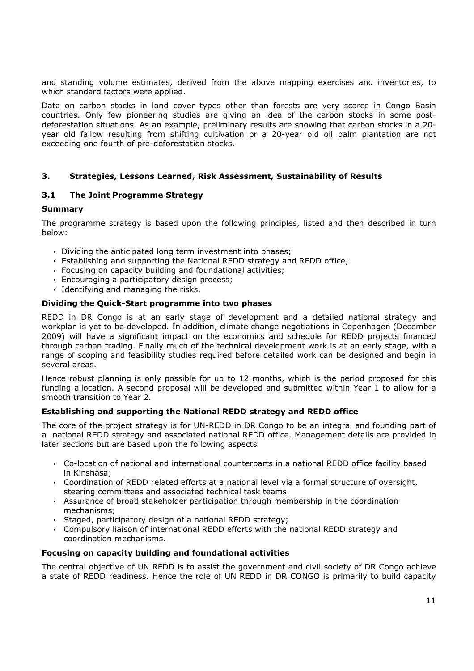and standing volume estimates, derived from the above mapping exercises and inventories, to which standard factors were applied.

Data on carbon stocks in land cover types other than forests are very scarce in Congo Basin countries. Only few pioneering studies are giving an idea of the carbon stocks in some postdeforestation situations. As an example, preliminary results are showing that carbon stocks in a 20 year old fallow resulting from shifting cultivation or a 20-year old oil palm plantation are not exceeding one fourth of pre-deforestation stocks.

### **3. Strategies, Lessons Learned, Risk Assessment, Sustainability of Results**

#### **3.1 The Joint Programme Strategy**

#### **Summary**

The programme strategy is based upon the following principles, listed and then described in turn below:

- Dividing the anticipated long term investment into phases;
- Establishing and supporting the National REDD strategy and REDD office;
- Focusing on capacity building and foundational activities;
- Encouraging a participatory design process;
- Identifying and managing the risks.

#### **Dividing the Quick-Start programme into two phases**

REDD in DR Congo is at an early stage of development and a detailed national strategy and workplan is yet to be developed. In addition, climate change negotiations in Copenhagen (December 2009) will have a significant impact on the economics and schedule for REDD projects financed through carbon trading. Finally much of the technical development work is at an early stage, with a range of scoping and feasibility studies required before detailed work can be designed and begin in several areas.

Hence robust planning is only possible for up to 12 months, which is the period proposed for this funding allocation. A second proposal will be developed and submitted within Year 1 to allow for a smooth transition to Year 2.

### **Establishing and supporting the National REDD strategy and REDD office**

The core of the project strategy is for UN-REDD in DR Congo to be an integral and founding part of a national REDD strategy and associated national REDD office. Management details are provided in later sections but are based upon the following aspects

- Co-location of national and international counterparts in a national REDD office facility based in Kinshasa;
- Coordination of REDD related efforts at a national level via a formal structure of oversight, steering committees and associated technical task teams.
- Assurance of broad stakeholder participation through membership in the coordination mechanisms;
- Staged, participatory design of a national REDD strategy;
- Compulsory liaison of international REDD efforts with the national REDD strategy and coordination mechanisms.

#### **Focusing on capacity building and foundational activities**

The central objective of UN REDD is to assist the government and civil society of DR Congo achieve a state of REDD readiness. Hence the role of UN REDD in DR CONGO is primarily to build capacity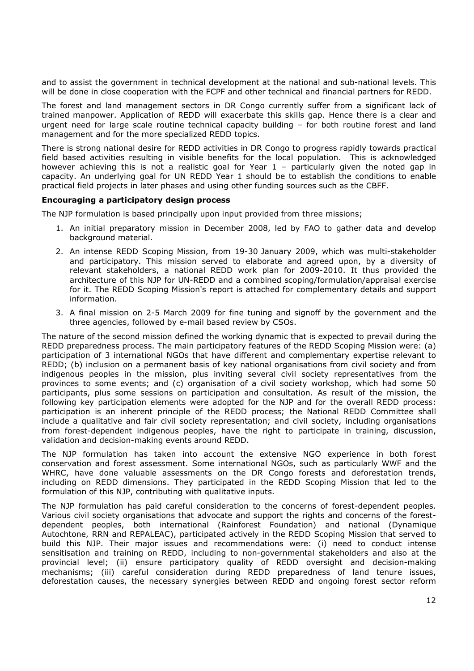and to assist the government in technical development at the national and sub-national levels. This will be done in close cooperation with the FCPF and other technical and financial partners for REDD.

The forest and land management sectors in DR Congo currently suffer from a significant lack of trained manpower. Application of REDD will exacerbate this skills gap. Hence there is a clear and urgent need for large scale routine technical capacity building – for both routine forest and land management and for the more specialized REDD topics.

There is strong national desire for REDD activities in DR Congo to progress rapidly towards practical field based activities resulting in visible benefits for the local population. This is acknowledged however achieving this is not a realistic goal for Year 1 – particularly given the noted gap in capacity. An underlying goal for UN REDD Year 1 should be to establish the conditions to enable practical field projects in later phases and using other funding sources such as the CBFF.

#### **Encouraging a participatory design process**

The NJP formulation is based principally upon input provided from three missions;

- 1. An initial preparatory mission in December 2008, led by FAO to gather data and develop background material.
- 2. An intense REDD Scoping Mission, from 19-30 January 2009, which was multi-stakeholder and participatory. This mission served to elaborate and agreed upon, by a diversity of relevant stakeholders, a national REDD work plan for 2009-2010. It thus provided the architecture of this NJP for UN-REDD and a combined scoping/formulation/appraisal exercise for it. The REDD Scoping Mission's report is attached for complementary details and support information.
- 3. A final mission on 2-5 March 2009 for fine tuning and signoff by the government and the three agencies, followed by e-mail based review by CSOs.

The nature of the second mission defined the working dynamic that is expected to prevail during the REDD preparedness process. The main participatory features of the REDD Scoping Mission were: (a) participation of 3 international NGOs that have different and complementary expertise relevant to REDD; (b) inclusion on a permanent basis of key national organisations from civil society and from indigenous peoples in the mission, plus inviting several civil society representatives from the provinces to some events; and (c) organisation of a civil society workshop, which had some 50 participants, plus some sessions on participation and consultation. As result of the mission, the following key participation elements were adopted for the NJP and for the overall REDD process: participation is an inherent principle of the REDD process; the National REDD Committee shall include a qualitative and fair civil society representation; and civil society, including organisations from forest-dependent indigenous peoples, have the right to participate in training, discussion, validation and decision-making events around REDD.

The NJP formulation has taken into account the extensive NGO experience in both forest conservation and forest assessment. Some international NGOs, such as particularly WWF and the WHRC, have done valuable assessments on the DR Congo forests and deforestation trends, including on REDD dimensions. They participated in the REDD Scoping Mission that led to the formulation of this NJP, contributing with qualitative inputs.

The NJP formulation has paid careful consideration to the concerns of forest-dependent peoples. Various civil society organisations that advocate and support the rights and concerns of the forestdependent peoples, both international (Rainforest Foundation) and national (Dynamique Autochtone, RRN and REPALEAC), participated actively in the REDD Scoping Mission that served to build this NJP. Their major issues and recommendations were: (i) need to conduct intense sensitisation and training on REDD, including to non-governmental stakeholders and also at the provincial level; (ii) ensure participatory quality of REDD oversight and decision-making mechanisms; (iii) careful consideration during REDD preparedness of land tenure issues, deforestation causes, the necessary synergies between REDD and ongoing forest sector reform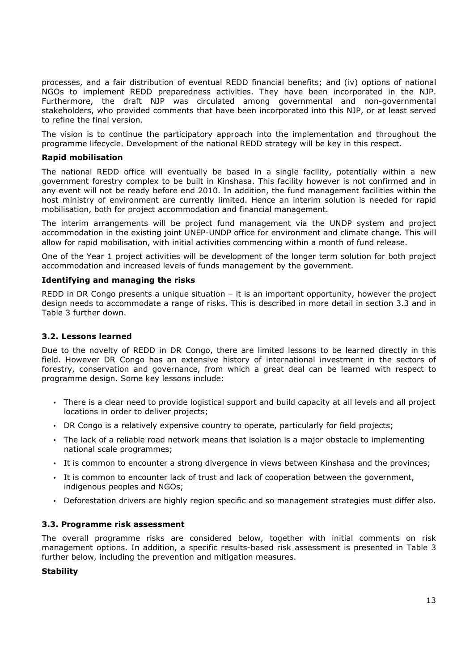processes, and a fair distribution of eventual REDD financial benefits; and (iv) options of national NGOs to implement REDD preparedness activities. They have been incorporated in the NJP. Furthermore, the draft NJP was circulated among governmental and non-governmental stakeholders, who provided comments that have been incorporated into this NJP, or at least served to refine the final version.

The vision is to continue the participatory approach into the implementation and throughout the programme lifecycle. Development of the national REDD strategy will be key in this respect.

#### **Rapid mobilisation**

The national REDD office will eventually be based in a single facility, potentially within a new government forestry complex to be built in Kinshasa. This facility however is not confirmed and in any event will not be ready before end 2010. In addition, the fund management facilities within the host ministry of environment are currently limited. Hence an interim solution is needed for rapid mobilisation, both for project accommodation and financial management.

The interim arrangements will be project fund management via the UNDP system and project accommodation in the existing joint UNEP-UNDP office for environment and climate change. This will allow for rapid mobilisation, with initial activities commencing within a month of fund release.

One of the Year 1 project activities will be development of the longer term solution for both project accommodation and increased levels of funds management by the government.

#### **Identifying and managing the risks**

REDD in DR Congo presents a unique situation – it is an important opportunity, however the project design needs to accommodate a range of risks. This is described in more detail in section 3.3 and in Table 3 further down.

#### **3.2. Lessons learned**

Due to the novelty of REDD in DR Congo, there are limited lessons to be learned directly in this field. However DR Congo has an extensive history of international investment in the sectors of forestry, conservation and governance, from which a great deal can be learned with respect to programme design. Some key lessons include:

- There is a clear need to provide logistical support and build capacity at all levels and all project locations in order to deliver projects;
- DR Congo is a relatively expensive country to operate, particularly for field projects;
- The lack of a reliable road network means that isolation is a major obstacle to implementing national scale programmes;
- It is common to encounter a strong divergence in views between Kinshasa and the provinces;
- It is common to encounter lack of trust and lack of cooperation between the government, indigenous peoples and NGOs;
- Deforestation drivers are highly region specific and so management strategies must differ also.

#### **3.3. Programme risk assessment**

The overall programme risks are considered below, together with initial comments on risk management options. In addition, a specific results-based risk assessment is presented in Table 3 further below, including the prevention and mitigation measures.

#### **Stability**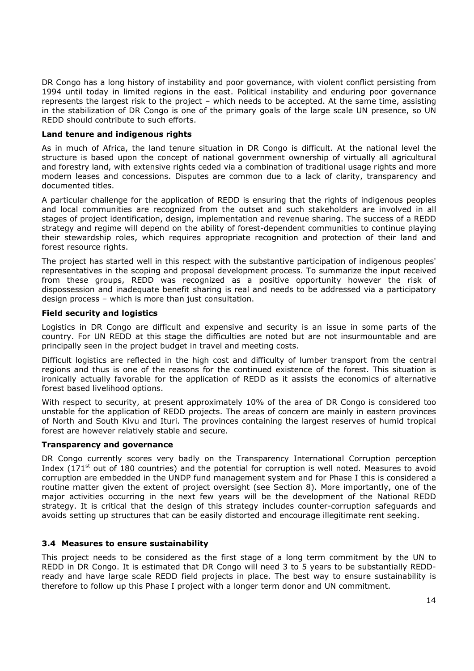DR Congo has a long history of instability and poor governance, with violent conflict persisting from 1994 until today in limited regions in the east. Political instability and enduring poor governance represents the largest risk to the project – which needs to be accepted. At the same time, assisting in the stabilization of DR Congo is one of the primary goals of the large scale UN presence, so UN REDD should contribute to such efforts.

#### **Land tenure and indigenous rights**

As in much of Africa, the land tenure situation in DR Congo is difficult. At the national level the structure is based upon the concept of national government ownership of virtually all agricultural and forestry land, with extensive rights ceded via a combination of traditional usage rights and more modern leases and concessions. Disputes are common due to a lack of clarity, transparency and documented titles.

A particular challenge for the application of REDD is ensuring that the rights of indigenous peoples and local communities are recognized from the outset and such stakeholders are involved in all stages of project identification, design, implementation and revenue sharing. The success of a REDD strategy and regime will depend on the ability of forest-dependent communities to continue playing their stewardship roles, which requires appropriate recognition and protection of their land and forest resource rights.

The project has started well in this respect with the substantive participation of indigenous peoples' representatives in the scoping and proposal development process. To summarize the input received from these groups, REDD was recognized as a positive opportunity however the risk of dispossession and inadequate benefit sharing is real and needs to be addressed via a participatory design process – which is more than just consultation.

### **Field security and logistics**

Logistics in DR Congo are difficult and expensive and security is an issue in some parts of the country. For UN REDD at this stage the difficulties are noted but are not insurmountable and are principally seen in the project budget in travel and meeting costs.

Difficult logistics are reflected in the high cost and difficulty of lumber transport from the central regions and thus is one of the reasons for the continued existence of the forest. This situation is ironically actually favorable for the application of REDD as it assists the economics of alternative forest based livelihood options.

With respect to security, at present approximately 10% of the area of DR Congo is considered too unstable for the application of REDD projects. The areas of concern are mainly in eastern provinces of North and South Kivu and Ituri. The provinces containing the largest reserves of humid tropical forest are however relatively stable and secure.

#### **Transparency and governance**

DR Congo currently scores very badly on the Transparency International Corruption perception Index (171 $<sup>st</sup>$  out of 180 countries) and the potential for corruption is well noted. Measures to avoid</sup> corruption are embedded in the UNDP fund management system and for Phase I this is considered a routine matter given the extent of project oversight (see Section 8). More importantly, one of the major activities occurring in the next few years will be the development of the National REDD strategy. It is critical that the design of this strategy includes counter-corruption safeguards and avoids setting up structures that can be easily distorted and encourage illegitimate rent seeking.

### **3.4 Measures to ensure sustainability**

This project needs to be considered as the first stage of a long term commitment by the UN to REDD in DR Congo. It is estimated that DR Congo will need 3 to 5 years to be substantially REDDready and have large scale REDD field projects in place. The best way to ensure sustainability is therefore to follow up this Phase I project with a longer term donor and UN commitment.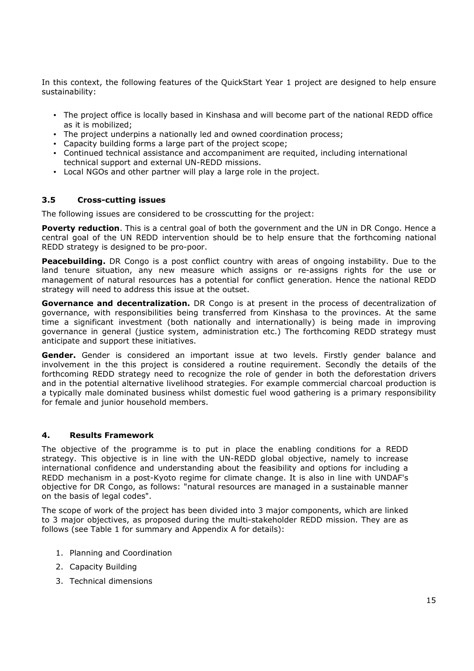In this context, the following features of the QuickStart Year 1 project are designed to help ensure sustainability:

- The project office is locally based in Kinshasa and will become part of the national REDD office as it is mobilized;
- The project underpins a nationally led and owned coordination process;
- Capacity building forms a large part of the project scope;
- Continued technical assistance and accompaniment are requited, including international technical support and external UN-REDD missions.
- Local NGOs and other partner will play a large role in the project.

#### **3.5 Cross-cutting issues**

The following issues are considered to be crosscutting for the project:

**Poverty reduction**. This is a central goal of both the government and the UN in DR Congo. Hence a central goal of the UN REDD intervention should be to help ensure that the forthcoming national REDD strategy is designed to be pro-poor.

**Peacebuilding.** DR Congo is a post conflict country with areas of ongoing instability. Due to the land tenure situation, any new measure which assigns or re-assigns rights for the use or management of natural resources has a potential for conflict generation. Hence the national REDD strategy will need to address this issue at the outset.

**Governance and decentralization.** DR Congo is at present in the process of decentralization of governance, with responsibilities being transferred from Kinshasa to the provinces. At the same time a significant investment (both nationally and internationally) is being made in improving governance in general (justice system, administration etc.) The forthcoming REDD strategy must anticipate and support these initiatives.

**Gender.** Gender is considered an important issue at two levels. Firstly gender balance and involvement in the this project is considered a routine requirement. Secondly the details of the forthcoming REDD strategy need to recognize the role of gender in both the deforestation drivers and in the potential alternative livelihood strategies. For example commercial charcoal production is a typically male dominated business whilst domestic fuel wood gathering is a primary responsibility for female and junior household members.

#### **4. Results Framework**

The objective of the programme is to put in place the enabling conditions for a REDD strategy. This objective is in line with the UN-REDD global objective, namely to increase international confidence and understanding about the feasibility and options for including a REDD mechanism in a post-Kyoto regime for climate change. It is also in line with UNDAF's objective for DR Congo, as follows: "natural resources are managed in a sustainable manner on the basis of legal codes".

The scope of work of the project has been divided into 3 major components, which are linked to 3 major objectives, as proposed during the multi-stakeholder REDD mission. They are as follows (see Table 1 for summary and Appendix A for details):

- 1. Planning and Coordination
- 2. Capacity Building
- 3. Technical dimensions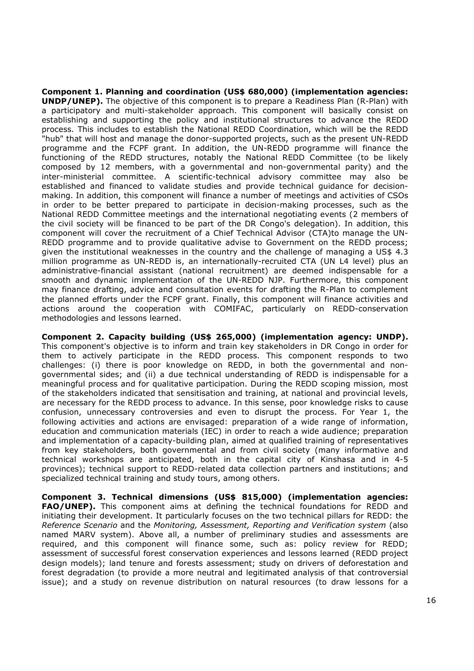**Component 1. Planning and coordination (US\$ 680,000) (implementation agencies: UNDP/UNEP).** The objective of this component is to prepare a Readiness Plan (R-Plan) with a participatory and multi-stakeholder approach. This component will basically consist on establishing and supporting the policy and institutional structures to advance the REDD process. This includes to establish the National REDD Coordination, which will be the REDD "hub" that will host and manage the donor-supported projects, such as the present UN-REDD programme and the FCPF grant. In addition, the UN-REDD programme will finance the functioning of the REDD structures, notably the National REDD Committee (to be likely composed by 12 members, with a governmental and non-governmental parity) and the inter-ministerial committee. A scientific-technical advisory committee may also be established and financed to validate studies and provide technical guidance for decisionmaking. In addition, this component will finance a number of meetings and activities of CSOs in order to be better prepared to participate in decision-making processes, such as the National REDD Committee meetings and the international negotiating events (2 members of the civil society will be financed to be part of the DR Congo's delegation). In addition, this component will cover the recruitment of a Chief Technical Advisor (CTA)to manage the UN-REDD programme and to provide qualitative advise to Government on the REDD process; given the institutional weaknesses in the country and the challenge of managing a US\$ 4.3 million programme as UN-REDD is, an internationally-recruited CTA (UN L4 level) plus an administrative-financial assistant (national recruitment) are deemed indispensable for a smooth and dynamic implementation of the UN-REDD NJP. Furthermore, this component may finance drafting, advice and consultation events for drafting the R-Plan to complement the planned efforts under the FCPF grant. Finally, this component will finance activities and actions around the cooperation with COMIFAC, particularly on REDD-conservation methodologies and lessons learned.

**Component 2. Capacity building (US\$ 265,000) (implementation agency: UNDP).** This component's objective is to inform and train key stakeholders in DR Congo in order for them to actively participate in the REDD process. This component responds to two challenges: (i) there is poor knowledge on REDD, in both the governmental and nongovernmental sides; and (ii) a due technical understanding of REDD is indispensable for a meaningful process and for qualitative participation. During the REDD scoping mission, most of the stakeholders indicated that sensitisation and training, at national and provincial levels, are necessary for the REDD process to advance. In this sense, poor knowledge risks to cause confusion, unnecessary controversies and even to disrupt the process. For Year 1, the following activities and actions are envisaged: preparation of a wide range of information, education and communication materials (IEC) in order to reach a wide audience; preparation and implementation of a capacity-building plan, aimed at qualified training of representatives from key stakeholders, both governmental and from civil society (many informative and technical workshops are anticipated, both in the capital city of Kinshasa and in 4-5 provinces); technical support to REDD-related data collection partners and institutions; and specialized technical training and study tours, among others.

**Component 3. Technical dimensions (US\$ 815,000) (implementation agencies: FAO/UNEP).** This component aims at defining the technical foundations for REDD and initiating their development. It particularly focuses on the two technical pillars for REDD: the *Reference Scenario* and the *Monitoring, Assessment, Reporting and Verification system* (also named MARV system). Above all, a number of preliminary studies and assessments are required, and this component will finance some, such as: policy review for REDD; assessment of successful forest conservation experiences and lessons learned (REDD project design models); land tenure and forests assessment; study on drivers of deforestation and forest degradation (to provide a more neutral and legitimated analysis of that controversial issue); and a study on revenue distribution on natural resources (to draw lessons for a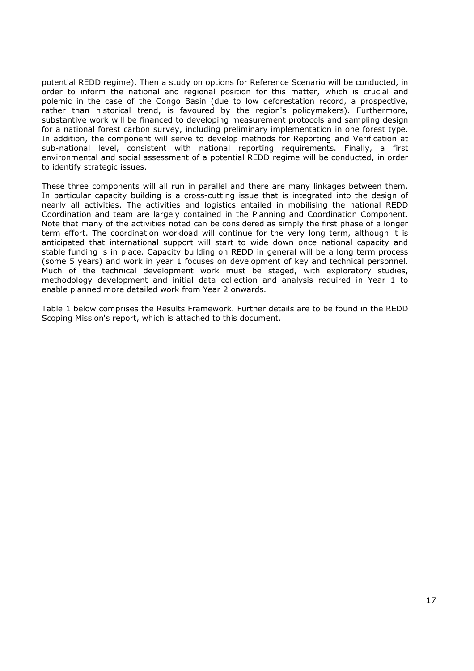potential REDD regime). Then a study on options for Reference Scenario will be conducted, in order to inform the national and regional position for this matter, which is crucial and polemic in the case of the Congo Basin (due to low deforestation record, a prospective, rather than historical trend, is favoured by the region's policymakers). Furthermore, substantive work will be financed to developing measurement protocols and sampling design for a national forest carbon survey, including preliminary implementation in one forest type. In addition, the component will serve to develop methods for Reporting and Verification at sub-national level, consistent with national reporting requirements. Finally, a first environmental and social assessment of a potential REDD regime will be conducted, in order to identify strategic issues.

These three components will all run in parallel and there are many linkages between them. In particular capacity building is a cross-cutting issue that is integrated into the design of nearly all activities. The activities and logistics entailed in mobilising the national REDD Coordination and team are largely contained in the Planning and Coordination Component. Note that many of the activities noted can be considered as simply the first phase of a longer term effort. The coordination workload will continue for the very long term, although it is anticipated that international support will start to wide down once national capacity and stable funding is in place. Capacity building on REDD in general will be a long term process (some 5 years) and work in year 1 focuses on development of key and technical personnel. Much of the technical development work must be staged, with exploratory studies, methodology development and initial data collection and analysis required in Year 1 to enable planned more detailed work from Year 2 onwards.

Table 1 below comprises the Results Framework. Further details are to be found in the REDD Scoping Mission's report, which is attached to this document.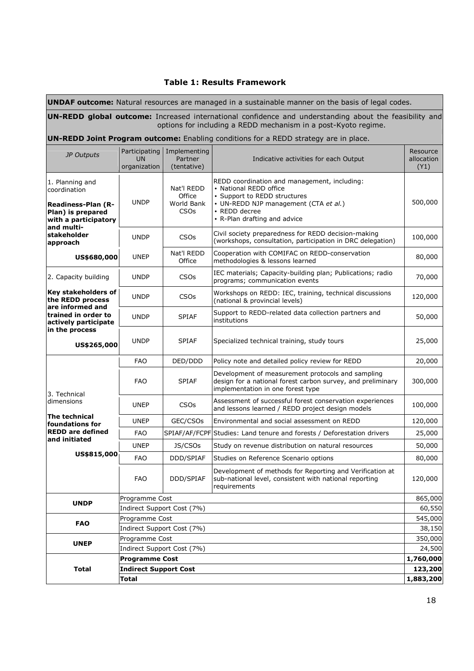### **Table 1: Results Framework**

**UNDAF outcome:** Natural resources are managed in a sustainable manner on the basis of legal codes.

**UN-REDD global outcome:** Increased international confidence and understanding about the feasibility and options for including a REDD mechanism in a post-Kyoto regime.

## **UN-REDD Joint Program outcome:** Enabling conditions for a REDD strategy are in place.

| JP Outputs                                                                                                              | Participating<br><b>UN</b><br>organization | Implementing<br>Partner<br>(tentative)                       | Indicative activities for each Output                                                                                                                                                            | Resource<br>allocation<br>(Y1) |  |  |
|-------------------------------------------------------------------------------------------------------------------------|--------------------------------------------|--------------------------------------------------------------|--------------------------------------------------------------------------------------------------------------------------------------------------------------------------------------------------|--------------------------------|--|--|
| 1. Planning and<br>coordination<br><b>Readiness-Plan (R-</b><br>Plan) is prepared<br>with a participatory<br>and multi- | <b>UNDP</b>                                | Nat'l REDD<br>Office<br>World Bank<br><b>CSO<sub>s</sub></b> | REDD coordination and management, including:<br>• National REDD office<br>• Support to REDD structures<br>• UN-REDD NJP management (CTA et al.)<br>• REDD decree<br>• R-Plan drafting and advice | 500,000                        |  |  |
| stakeholder<br>approach                                                                                                 | <b>UNDP</b>                                | <b>CSO<sub>s</sub></b>                                       | Civil society preparedness for REDD decision-making<br>(workshops, consultation, participation in DRC delegation)                                                                                | 100,000                        |  |  |
| US\$680,000                                                                                                             | <b>UNEP</b>                                | Nat'l REDD<br>Office                                         | Cooperation with COMIFAC on REDD-conservation<br>methodologies & lessons learned                                                                                                                 | 80,000                         |  |  |
| 2. Capacity building                                                                                                    | <b>UNDP</b>                                | <b>CSOs</b>                                                  | IEC materials; Capacity-building plan; Publications; radio<br>programs; communication events                                                                                                     | 70,000                         |  |  |
| Key stakeholders of<br>the REDD process<br>are informed and                                                             | <b>UNDP</b>                                | <b>CSO<sub>s</sub></b>                                       | Workshops on REDD: IEC, training, technical discussions<br>(national & provincial levels)                                                                                                        | 120,000                        |  |  |
| trained in order to<br>actively participate                                                                             | <b>UNDP</b>                                | <b>SPIAF</b>                                                 | Support to REDD-related data collection partners and<br>institutions                                                                                                                             | 50,000                         |  |  |
| in the process<br>US\$265,000                                                                                           | <b>UNDP</b>                                | <b>SPIAF</b>                                                 | Specialized technical training, study tours                                                                                                                                                      | 25,000                         |  |  |
|                                                                                                                         | <b>FAO</b>                                 | DED/DDD                                                      | Policy note and detailed policy review for REDD                                                                                                                                                  | 20,000                         |  |  |
| 3. Technical                                                                                                            | <b>FAO</b>                                 | <b>SPIAF</b>                                                 | Development of measurement protocols and sampling<br>design for a national forest carbon survey, and preliminary<br>implementation in one forest type                                            | 300,000                        |  |  |
| dimensions                                                                                                              | <b>UNEP</b>                                | <b>CSOs</b>                                                  | Assessment of successful forest conservation experiences<br>and lessons learned / REDD project design models                                                                                     | 100,000                        |  |  |
| The technical<br>foundations for                                                                                        | <b>UNEP</b>                                | GEC/CSOs                                                     | Environmental and social assessment on REDD                                                                                                                                                      | 120,000                        |  |  |
| <b>REDD are defined</b>                                                                                                 | <b>FAO</b>                                 |                                                              | SPIAF/AF/FCPF Studies: Land tenure and forests / Deforestation drivers                                                                                                                           | 25,000                         |  |  |
| and initiated                                                                                                           | <b>UNEP</b>                                | JS/CSOs                                                      | Study on revenue distribution on natural resources                                                                                                                                               | 50,000                         |  |  |
| US\$815,000                                                                                                             | <b>FAO</b>                                 | DDD/SPIAF                                                    | Studies on Reference Scenario options                                                                                                                                                            | 80,000                         |  |  |
|                                                                                                                         | <b>FAO</b>                                 | DDD/SPIAF                                                    | Development of methods for Reporting and Verification at<br>sub-national level, consistent with national reporting<br>requirements                                                               | 120,000                        |  |  |
| <b>UNDP</b>                                                                                                             | Programme Cost                             |                                                              |                                                                                                                                                                                                  | 865,000                        |  |  |
|                                                                                                                         | Indirect Support Cost (7%)                 |                                                              |                                                                                                                                                                                                  |                                |  |  |
| <b>FAO</b>                                                                                                              | Programme Cost                             |                                                              |                                                                                                                                                                                                  |                                |  |  |
|                                                                                                                         |                                            | Indirect Support Cost (7%)                                   |                                                                                                                                                                                                  | 38,150<br>350,000              |  |  |
| <b>UNEP</b>                                                                                                             | Programme Cost                             |                                                              |                                                                                                                                                                                                  |                                |  |  |
|                                                                                                                         | Indirect Support Cost (7%)                 |                                                              |                                                                                                                                                                                                  |                                |  |  |
|                                                                                                                         | <b>Programme Cost</b><br>1,760,000         |                                                              |                                                                                                                                                                                                  |                                |  |  |
| <b>Total</b>                                                                                                            | <b>Indirect Support Cost</b>               |                                                              |                                                                                                                                                                                                  |                                |  |  |
|                                                                                                                         | Total<br>1,883,200                         |                                                              |                                                                                                                                                                                                  |                                |  |  |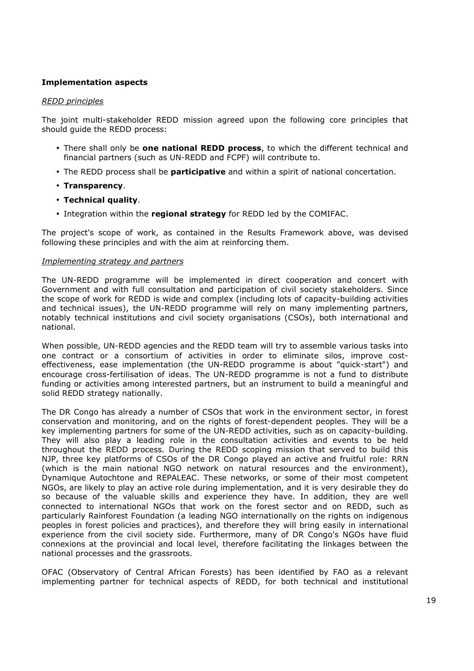## **Implementation aspects**

#### *REDD principles*

The joint multi-stakeholder REDD mission agreed upon the following core principles that should guide the REDD process:

- There shall only be **one national REDD process**, to which the different technical and financial partners (such as UN-REDD and FCPF) will contribute to.
- The REDD process shall be **participative** and within a spirit of national concertation.
- **Transparency**.
- **Technical quality**.
- Integration within the **regional strategy** for REDD led by the COMIFAC.

The project's scope of work, as contained in the Results Framework above, was devised following these principles and with the aim at reinforcing them.

#### *Implementing strategy and partners*

The UN-REDD programme will be implemented in direct cooperation and concert with Government and with full consultation and participation of civil society stakeholders. Since the scope of work for REDD is wide and complex (including lots of capacity-building activities and technical issues), the UN-REDD programme will rely on many implementing partners, notably technical institutions and civil society organisations (CSOs), both international and national.

When possible, UN-REDD agencies and the REDD team will try to assemble various tasks into one contract or a consortium of activities in order to eliminate silos, improve costeffectiveness, ease implementation (the UN-REDD programme is about "quick-start") and encourage cross-fertilisation of ideas. The UN-REDD programme is not a fund to distribute funding or activities among interested partners, but an instrument to build a meaningful and solid REDD strategy nationally.

The DR Congo has already a number of CSOs that work in the environment sector, in forest conservation and monitoring, and on the rights of forest-dependent peoples. They will be a key implementing partners for some of the UN-REDD activities, such as on capacity-building. They will also play a leading role in the consultation activities and events to be held throughout the REDD process. During the REDD scoping mission that served to build this NJP, three key platforms of CSOs of the DR Congo played an active and fruitful role: RRN (which is the main national NGO network on natural resources and the environment), Dynamique Autochtone and REPALEAC. These networks, or some of their most competent NGOs, are likely to play an active role during implementation, and it is very desirable they do so because of the valuable skills and experience they have. In addition, they are well connected to international NGOs that work on the forest sector and on REDD, such as particularly Rainforest Foundation (a leading NGO internationally on the rights on indigenous peoples in forest policies and practices), and therefore they will bring easily in international experience from the civil society side. Furthermore, many of DR Congo's NGOs have fluid connexions at the provincial and local level, therefore facilitating the linkages between the national processes and the grassroots.

OFAC (Observatory of Central African Forests) has been identified by FAO as a relevant implementing partner for technical aspects of REDD, for both technical and institutional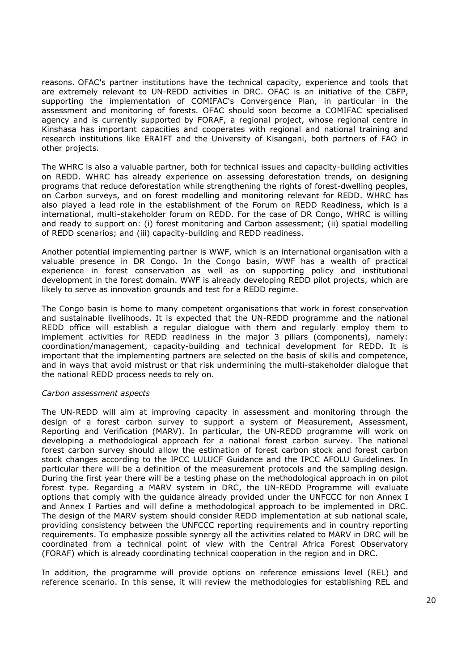reasons. OFAC's partner institutions have the technical capacity, experience and tools that are extremely relevant to UN-REDD activities in DRC. OFAC is an initiative of the CBFP, supporting the implementation of COMIFAC's Convergence Plan, in particular in the assessment and monitoring of forests. OFAC should soon become a COMIFAC specialised agency and is currently supported by FORAF, a regional project, whose regional centre in Kinshasa has important capacities and cooperates with regional and national training and research institutions like ERAIFT and the University of Kisangani, both partners of FAO in other projects.

The WHRC is also a valuable partner, both for technical issues and capacity-building activities on REDD. WHRC has already experience on assessing deforestation trends, on designing programs that reduce deforestation while strengthening the rights of forest-dwelling peoples, on Carbon surveys, and on forest modelling and monitoring relevant for REDD. WHRC has also played a lead role in the establishment of the Forum on REDD Readiness, which is a international, multi-stakeholder forum on REDD. For the case of DR Congo, WHRC is willing and ready to support on: (i) forest monitoring and Carbon assessment; (ii) spatial modelling of REDD scenarios; and (iii) capacity-building and REDD readiness.

Another potential implementing partner is WWF, which is an international organisation with a valuable presence in DR Congo. In the Congo basin, WWF has a wealth of practical experience in forest conservation as well as on supporting policy and institutional development in the forest domain. WWF is already developing REDD pilot projects, which are likely to serve as innovation grounds and test for a REDD regime.

The Congo basin is home to many competent organisations that work in forest conservation and sustainable livelihoods. It is expected that the UN-REDD programme and the national REDD office will establish a regular dialogue with them and regularly employ them to implement activities for REDD readiness in the major 3 pillars (components), namely: coordination/management, capacity-building and technical development for REDD. It is important that the implementing partners are selected on the basis of skills and competence, and in ways that avoid mistrust or that risk undermining the multi-stakeholder dialogue that the national REDD process needs to rely on.

#### *Carbon assessment aspects*

The UN-REDD will aim at improving capacity in assessment and monitoring through the design of a forest carbon survey to support a system of Measurement, Assessment, Reporting and Verification (MARV). In particular, the UN-REDD programme will work on developing a methodological approach for a national forest carbon survey. The national forest carbon survey should allow the estimation of forest carbon stock and forest carbon stock changes according to the IPCC LULUCF Guidance and the IPCC AFOLU Guidelines. In particular there will be a definition of the measurement protocols and the sampling design. During the first year there will be a testing phase on the methodological approach in on pilot forest type. Regarding a MARV system in DRC, the UN-REDD Programme will evaluate options that comply with the guidance already provided under the UNFCCC for non Annex I and Annex I Parties and will define a methodological approach to be implemented in DRC. The design of the MARV system should consider REDD implementation at sub national scale, providing consistency between the UNFCCC reporting requirements and in country reporting requirements. To emphasize possible synergy all the activities related to MARV in DRC will be coordinated from a technical point of view with the Central Africa Forest Observatory (FORAF) which is already coordinating technical cooperation in the region and in DRC.

In addition, the programme will provide options on reference emissions level (REL) and reference scenario. In this sense, it will review the methodologies for establishing REL and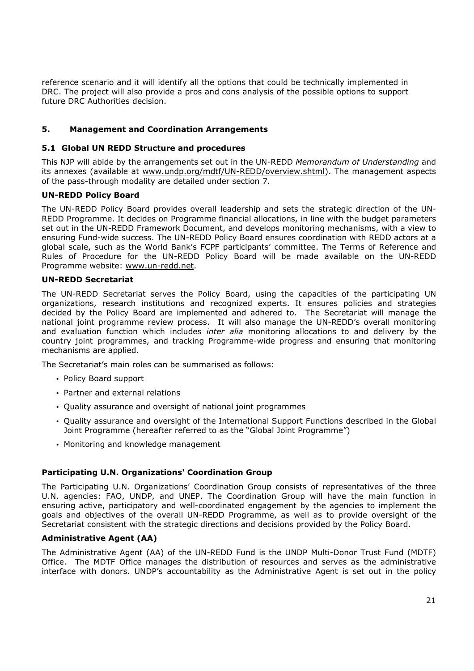reference scenario and it will identify all the options that could be technically implemented in DRC. The project will also provide a pros and cons analysis of the possible options to support future DRC Authorities decision.

# **5. Management and Coordination Arrangements**

#### **5.1 Global UN REDD Structure and procedures**

This NJP will abide by the arrangements set out in the UN-REDD *Memorandum of Understanding* and its annexes (available at www.undp.org/mdtf/UN-REDD/overview.shtml). The management aspects of the pass-through modality are detailed under section 7.

### **UN-REDD Policy Board**

The UN-REDD Policy Board provides overall leadership and sets the strategic direction of the UN-REDD Programme. It decides on Programme financial allocations, in line with the budget parameters set out in the UN-REDD Framework Document, and develops monitoring mechanisms, with a view to ensuring Fund-wide success. The UN-REDD Policy Board ensures coordination with REDD actors at a global scale, such as the World Bank's FCPF participants' committee. The Terms of Reference and Rules of Procedure for the UN-REDD Policy Board will be made available on the UN-REDD Programme website: www.un-redd.net.

#### **UN-REDD Secretariat**

The UN-REDD Secretariat serves the Policy Board, using the capacities of the participating UN organizations, research institutions and recognized experts. It ensures policies and strategies decided by the Policy Board are implemented and adhered to. The Secretariat will manage the national joint programme review process. It will also manage the UN-REDD's overall monitoring and evaluation function which includes *inter alia* monitoring allocations to and delivery by the country joint programmes, and tracking Programme-wide progress and ensuring that monitoring mechanisms are applied.

The Secretariat's main roles can be summarised as follows:

- Policy Board support
- Partner and external relations
- Quality assurance and oversight of national joint programmes
- Quality assurance and oversight of the International Support Functions described in the Global Joint Programme (hereafter referred to as the "Global Joint Programme")
- Monitoring and knowledge management

### **Participating U.N. Organizations' Coordination Group**

The Participating U.N. Organizations' Coordination Group consists of representatives of the three U.N. agencies: FAO, UNDP, and UNEP. The Coordination Group will have the main function in ensuring active, participatory and well-coordinated engagement by the agencies to implement the goals and objectives of the overall UN-REDD Programme, as well as to provide oversight of the Secretariat consistent with the strategic directions and decisions provided by the Policy Board.

### **Administrative Agent (AA)**

The Administrative Agent (AA) of the UN-REDD Fund is the UNDP Multi-Donor Trust Fund (MDTF) Office. The MDTF Office manages the distribution of resources and serves as the administrative interface with donors. UNDP's accountability as the Administrative Agent is set out in the policy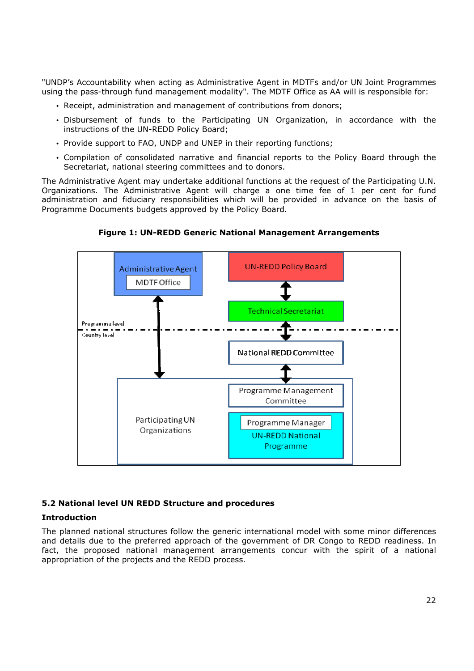"UNDP's Accountability when acting as Administrative Agent in MDTFs and/or UN Joint Programmes using the pass-through fund management modality". The MDTF Office as AA will is responsible for:

- Receipt, administration and management of contributions from donors;
- Disbursement of funds to the Participating UN Organization, in accordance with the instructions of the UN-REDD Policy Board;
- Provide support to FAO, UNDP and UNEP in their reporting functions;
- Compilation of consolidated narrative and financial reports to the Policy Board through the Secretariat, national steering committees and to donors.

The Administrative Agent may undertake additional functions at the request of the Participating U.N. Organizations. The Administrative Agent will charge a one time fee of 1 per cent for fund administration and fiduciary responsibilities which will be provided in advance on the basis of Programme Documents budgets approved by the Policy Board.



**Figure 1: UN-REDD Generic National Management Arrangements** 

### **5.2 National level UN REDD Structure and procedures**

### **Introduction**

The planned national structures follow the generic international model with some minor differences and details due to the preferred approach of the government of DR Congo to REDD readiness. In fact, the proposed national management arrangements concur with the spirit of a national appropriation of the projects and the REDD process.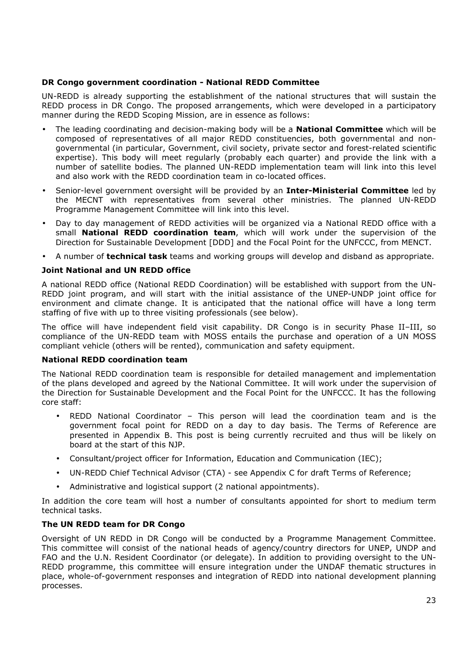## **DR Congo government coordination - National REDD Committee**

UN-REDD is already supporting the establishment of the national structures that will sustain the REDD process in DR Congo. The proposed arrangements, which were developed in a participatory manner during the REDD Scoping Mission, are in essence as follows:

- The leading coordinating and decision-making body will be a **National Committee** which will be composed of representatives of all major REDD constituencies, both governmental and nongovernmental (in particular, Government, civil society, private sector and forest-related scientific expertise). This body will meet regularly (probably each quarter) and provide the link with a number of satellite bodies. The planned UN-REDD implementation team will link into this level and also work with the REDD coordination team in co-located offices.
- Senior-level government oversight will be provided by an **Inter-Ministerial Committee** led by the MECNT with representatives from several other ministries. The planned UN-REDD Programme Management Committee will link into this level.
- Day to day management of REDD activities will be organized via a National REDD office with a small **National REDD coordination team**, which will work under the supervision of the Direction for Sustainable Development [DDD] and the Focal Point for the UNFCCC, from MENCT.
- A number of **technical task** teams and working groups will develop and disband as appropriate.

## **Joint National and UN REDD office**

A national REDD office (National REDD Coordination) will be established with support from the UN-REDD joint program, and will start with the initial assistance of the UNEP-UNDP joint office for environment and climate change. It is anticipated that the national office will have a long term staffing of five with up to three visiting professionals (see below).

The office will have independent field visit capability. DR Congo is in security Phase II–III, so compliance of the UN-REDD team with MOSS entails the purchase and operation of a UN MOSS compliant vehicle (others will be rented), communication and safety equipment.

### **National REDD coordination team**

The National REDD coordination team is responsible for detailed management and implementation of the plans developed and agreed by the National Committee. It will work under the supervision of the Direction for Sustainable Development and the Focal Point for the UNFCCC. It has the following core staff:

- REDD National Coordinator This person will lead the coordination team and is the government focal point for REDD on a day to day basis. The Terms of Reference are presented in Appendix B. This post is being currently recruited and thus will be likely on board at the start of this NJP.
- Consultant/project officer for Information, Education and Communication (IEC);
- UN-REDD Chief Technical Advisor (CTA) see Appendix C for draft Terms of Reference;
- Administrative and logistical support (2 national appointments).

In addition the core team will host a number of consultants appointed for short to medium term technical tasks.

### **The UN REDD team for DR Congo**

Oversight of UN REDD in DR Congo will be conducted by a Programme Management Committee. This committee will consist of the national heads of agency/country directors for UNEP, UNDP and FAO and the U.N. Resident Coordinator (or delegate). In addition to providing oversight to the UN-REDD programme, this committee will ensure integration under the UNDAF thematic structures in place, whole-of-government responses and integration of REDD into national development planning processes.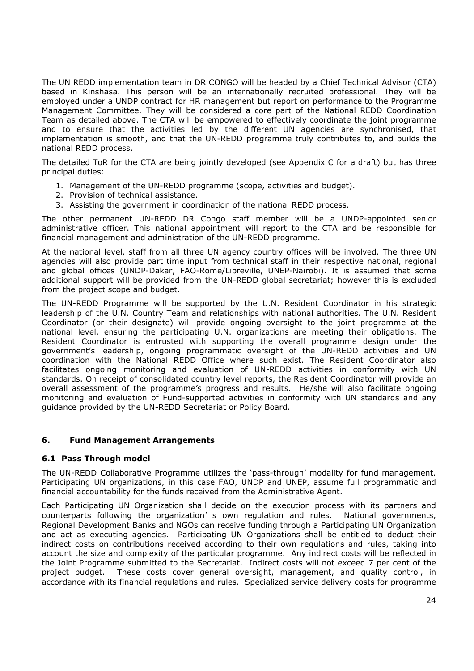The UN REDD implementation team in DR CONGO will be headed by a Chief Technical Advisor (CTA) based in Kinshasa. This person will be an internationally recruited professional. They will be employed under a UNDP contract for HR management but report on performance to the Programme Management Committee. They will be considered a core part of the National REDD Coordination Team as detailed above. The CTA will be empowered to effectively coordinate the joint programme and to ensure that the activities led by the different UN agencies are synchronised, that implementation is smooth, and that the UN-REDD programme truly contributes to, and builds the national REDD process.

The detailed ToR for the CTA are being jointly developed (see Appendix C for a draft) but has three principal duties:

- 1. Management of the UN-REDD programme (scope, activities and budget).
- 2. Provision of technical assistance.
- 3. Assisting the government in coordination of the national REDD process.

The other permanent UN-REDD DR Congo staff member will be a UNDP-appointed senior administrative officer. This national appointment will report to the CTA and be responsible for financial management and administration of the UN-REDD programme.

At the national level, staff from all three UN agency country offices will be involved. The three UN agencies will also provide part time input from technical staff in their respective national, regional and global offices (UNDP-Dakar, FAO-Rome/Libreville, UNEP-Nairobi). It is assumed that some additional support will be provided from the UN-REDD global secretariat; however this is excluded from the project scope and budget.

The UN-REDD Programme will be supported by the U.N. Resident Coordinator in his strategic leadership of the U.N. Country Team and relationships with national authorities. The U.N. Resident Coordinator (or their designate) will provide ongoing oversight to the joint programme at the national level, ensuring the participating U.N. organizations are meeting their obligations. The Resident Coordinator is entrusted with supporting the overall programme design under the government's leadership, ongoing programmatic oversight of the UN-REDD activities and UN coordination with the National REDD Office where such exist. The Resident Coordinator also facilitates ongoing monitoring and evaluation of UN-REDD activities in conformity with UN standards. On receipt of consolidated country level reports, the Resident Coordinator will provide an overall assessment of the programme's progress and results. He/she will also facilitate ongoing monitoring and evaluation of Fund-supported activities in conformity with UN standards and any guidance provided by the UN-REDD Secretariat or Policy Board.

# **6. Fund Management Arrangements**

### **6.1 Pass Through model**

The UN-REDD Collaborative Programme utilizes the 'pass-through' modality for fund management. Participating UN organizations, in this case FAO, UNDP and UNEP, assume full programmatic and financial accountability for the funds received from the Administrative Agent.

Each Participating UN Organization shall decide on the execution process with its partners and counterparts following the organization's own regulation and rules. National governments, Regional Development Banks and NGOs can receive funding through a Participating UN Organization and act as executing agencies. Participating UN Organizations shall be entitled to deduct their indirect costs on contributions received according to their own regulations and rules, taking into account the size and complexity of the particular programme. Any indirect costs will be reflected in the Joint Programme submitted to the Secretariat. Indirect costs will not exceed 7 per cent of the project budget. These costs cover general oversight, management, and quality control, in accordance with its financial regulations and rules. Specialized service delivery costs for programme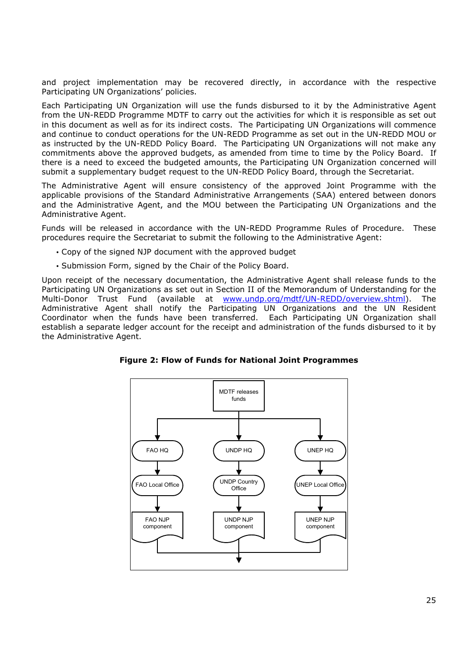and project implementation may be recovered directly, in accordance with the respective Participating UN Organizations' policies.

Each Participating UN Organization will use the funds disbursed to it by the Administrative Agent from the UN-REDD Programme MDTF to carry out the activities for which it is responsible as set out in this document as well as for its indirect costs. The Participating UN Organizations will commence and continue to conduct operations for the UN-REDD Programme as set out in the UN-REDD MOU or as instructed by the UN-REDD Policy Board. The Participating UN Organizations will not make any commitments above the approved budgets, as amended from time to time by the Policy Board. If there is a need to exceed the budgeted amounts, the Participating UN Organization concerned will submit a supplementary budget request to the UN-REDD Policy Board, through the Secretariat.

The Administrative Agent will ensure consistency of the approved Joint Programme with the applicable provisions of the Standard Administrative Arrangements (SAA) entered between donors and the Administrative Agent, and the MOU between the Participating UN Organizations and the Administrative Agent.

Funds will be released in accordance with the UN-REDD Programme Rules of Procedure. These procedures require the Secretariat to submit the following to the Administrative Agent:

- Copy of the signed NJP document with the approved budget
- Submission Form, signed by the Chair of the Policy Board.

Upon receipt of the necessary documentation, the Administrative Agent shall release funds to the Participating UN Organizations as set out in Section II of the Memorandum of Understanding for the Multi-Donor Trust Fund (available at www.undp.org/mdtf/UN-REDD/overview.shtml). The Administrative Agent shall notify the Participating UN Organizations and the UN Resident Coordinator when the funds have been transferred. Each Participating UN Organization shall establish a separate ledger account for the receipt and administration of the funds disbursed to it by the Administrative Agent.

**Figure 2: Flow of Funds for National Joint Programmes** 

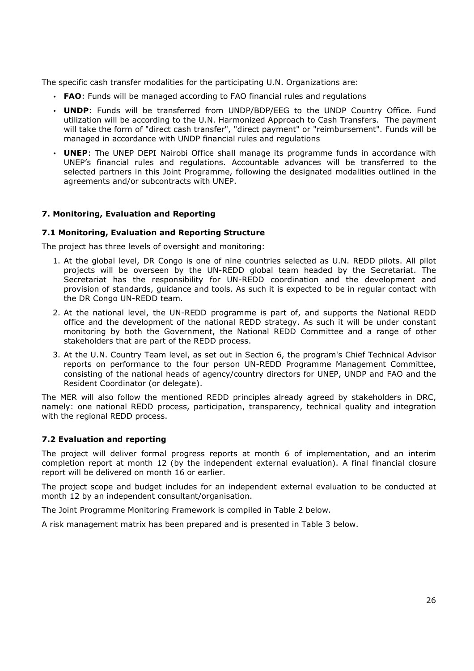The specific cash transfer modalities for the participating U.N. Organizations are:

- **FAO**: Funds will be managed according to FAO financial rules and regulations
- **UNDP**: Funds will be transferred from UNDP/BDP/EEG to the UNDP Country Office. Fund utilization will be according to the U.N. Harmonized Approach to Cash Transfers. The payment will take the form of "direct cash transfer", "direct payment" or "reimbursement". Funds will be managed in accordance with UNDP financial rules and regulations
- **UNEP**: The UNEP DEPI Nairobi Office shall manage its programme funds in accordance with UNEP's financial rules and regulations. Accountable advances will be transferred to the selected partners in this Joint Programme, following the designated modalities outlined in the agreements and/or subcontracts with UNEP.

### **7. Monitoring, Evaluation and Reporting**

#### **7.1 Monitoring, Evaluation and Reporting Structure**

The project has three levels of oversight and monitoring:

- 1. At the global level, DR Congo is one of nine countries selected as U.N. REDD pilots. All pilot projects will be overseen by the UN-REDD global team headed by the Secretariat. The Secretariat has the responsibility for UN-REDD coordination and the development and provision of standards, guidance and tools. As such it is expected to be in regular contact with the DR Congo UN-REDD team.
- 2. At the national level, the UN-REDD programme is part of, and supports the National REDD office and the development of the national REDD strategy. As such it will be under constant monitoring by both the Government, the National REDD Committee and a range of other stakeholders that are part of the REDD process.
- 3. At the U.N. Country Team level, as set out in Section 6, the program's Chief Technical Advisor reports on performance to the four person UN-REDD Programme Management Committee, consisting of the national heads of agency/country directors for UNEP, UNDP and FAO and the Resident Coordinator (or delegate).

The MER will also follow the mentioned REDD principles already agreed by stakeholders in DRC, namely: one national REDD process, participation, transparency, technical quality and integration with the regional REDD process.

### **7.2 Evaluation and reporting**

The project will deliver formal progress reports at month 6 of implementation, and an interim completion report at month 12 (by the independent external evaluation). A final financial closure report will be delivered on month 16 or earlier.

The project scope and budget includes for an independent external evaluation to be conducted at month 12 by an independent consultant/organisation.

The Joint Programme Monitoring Framework is compiled in Table 2 below.

A risk management matrix has been prepared and is presented in Table 3 below.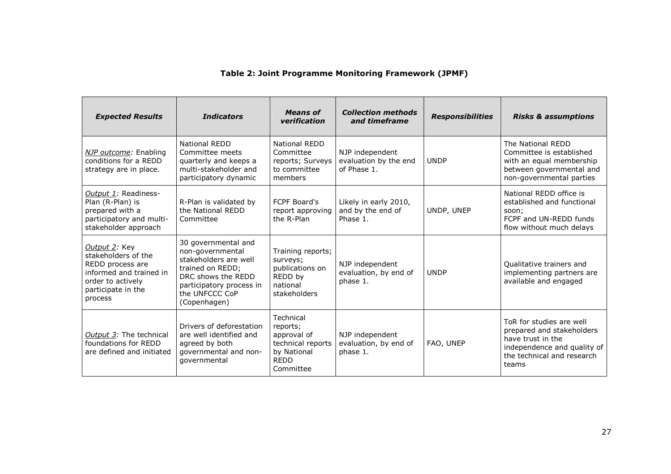# **Table 2: Joint Programme Monitoring Framework (JPMF)**

| <b>Expected Results</b>                                                                                                                   | <b>Indicators</b>                                                                                                                                                        | Means of<br>verification                                                                             | <b>Collection methods</b><br>and timeframe              | <b>Responsibilities</b> | <b>Risks &amp; assumptions</b>                                                                                                                   |
|-------------------------------------------------------------------------------------------------------------------------------------------|--------------------------------------------------------------------------------------------------------------------------------------------------------------------------|------------------------------------------------------------------------------------------------------|---------------------------------------------------------|-------------------------|--------------------------------------------------------------------------------------------------------------------------------------------------|
| NJP outcome: Enabling<br>conditions for a REDD<br>strategy are in place.                                                                  | National REDD<br>Committee meets<br>quarterly and keeps a<br>multi-stakeholder and<br>participatory dynamic                                                              | National REDD<br>Committee<br>reports; Surveys<br>to committee<br>members                            | NJP independent<br>evaluation by the end<br>of Phase 1. | <b>UNDP</b>             | The National REDD<br>Committee is established<br>with an equal membership<br>between governmental and<br>non-governmental parties                |
| Output 1: Readiness-<br>Plan (R-Plan) is<br>prepared with a<br>participatory and multi-<br>stakeholder approach                           | R-Plan is validated by<br>the National REDD<br>Committee                                                                                                                 | <b>FCPF Board's</b><br>report approving<br>the R-Plan                                                | Likely in early 2010,<br>and by the end of<br>Phase 1.  | UNDP, UNEP              | National REDD office is<br>established and functional<br>soon;<br>FCPF and UN-REDD funds<br>flow without much delays                             |
| Output 2: Key<br>stakeholders of the<br>REDD process are<br>informed and trained in<br>order to actively<br>participate in the<br>process | 30 governmental and<br>non-governmental<br>stakeholders are well<br>trained on REDD;<br>DRC shows the REDD<br>participatory process in<br>the UNFCCC CoP<br>(Copenhagen) | Training reports;<br>surveys;<br>publications on<br>REDD by<br>national<br>stakeholders              | NJP independent<br>evaluation, by end of<br>phase 1.    | <b>UNDP</b>             | Qualitative trainers and<br>implementing partners are<br>available and engaged                                                                   |
| Output 3: The technical<br>foundations for REDD<br>are defined and initiated                                                              | Drivers of deforestation<br>are well identified and<br>agreed by both<br>qovernmental and non-<br>governmental                                                           | Technical<br>reports;<br>approval of<br>technical reports<br>by National<br><b>REDD</b><br>Committee | NJP independent<br>evaluation, by end of<br>phase 1.    | FAO, UNEP               | ToR for studies are well<br>prepared and stakeholders<br>have trust in the<br>independence and quality of<br>the technical and research<br>teams |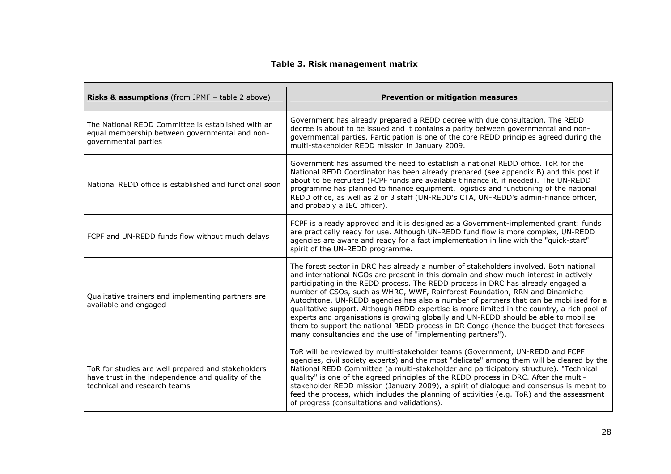# **Table 3. Risk management matrix**

| Risks & assumptions (from JPMF - table 2 above)                                                                                         | <b>Prevention or mitigation measures</b>                                                                                                                                                                                                                                                                                                                                                                                                                                                                                                                                                                                                                                                                                                                                                  |
|-----------------------------------------------------------------------------------------------------------------------------------------|-------------------------------------------------------------------------------------------------------------------------------------------------------------------------------------------------------------------------------------------------------------------------------------------------------------------------------------------------------------------------------------------------------------------------------------------------------------------------------------------------------------------------------------------------------------------------------------------------------------------------------------------------------------------------------------------------------------------------------------------------------------------------------------------|
| The National REDD Committee is established with an<br>equal membership between governmental and non-<br>governmental parties            | Government has already prepared a REDD decree with due consultation. The REDD<br>decree is about to be issued and it contains a parity between governmental and non-<br>governmental parties. Participation is one of the core REDD principles agreed during the<br>multi-stakeholder REDD mission in January 2009.                                                                                                                                                                                                                                                                                                                                                                                                                                                                       |
| National REDD office is established and functional soon                                                                                 | Government has assumed the need to establish a national REDD office. ToR for the<br>National REDD Coordinator has been already prepared (see appendix B) and this post if<br>about to be recruited (FCPF funds are available t finance it, if needed). The UN-REDD<br>programme has planned to finance equipment, logistics and functioning of the national<br>REDD office, as well as 2 or 3 staff (UN-REDD's CTA, UN-REDD's admin-finance officer,<br>and probably a IEC officer).                                                                                                                                                                                                                                                                                                      |
| FCPF and UN-REDD funds flow without much delays                                                                                         | FCPF is already approved and it is designed as a Government-implemented grant: funds<br>are practically ready for use. Although UN-REDD fund flow is more complex, UN-REDD<br>agencies are aware and ready for a fast implementation in line with the "quick-start"<br>spirit of the UN-REDD programme.                                                                                                                                                                                                                                                                                                                                                                                                                                                                                   |
| Qualitative trainers and implementing partners are<br>available and engaged                                                             | The forest sector in DRC has already a number of stakeholders involved. Both national<br>and international NGOs are present in this domain and show much interest in actively<br>participating in the REDD process. The REDD process in DRC has already engaged a<br>number of CSOs, such as WHRC, WWF, Rainforest Foundation, RRN and Dinamiche<br>Autochtone. UN-REDD agencies has also a number of partners that can be mobilised for a<br>qualitative support. Although REDD expertise is more limited in the country, a rich pool of<br>experts and organisations is growing globally and UN-REDD should be able to mobilise<br>them to support the national REDD process in DR Congo (hence the budget that foresees<br>many consultancies and the use of "implementing partners"). |
| ToR for studies are well prepared and stakeholders<br>have trust in the independence and quality of the<br>technical and research teams | ToR will be reviewed by multi-stakeholder teams (Government, UN-REDD and FCPF<br>agencies, civil society experts) and the most "delicate" among them will be cleared by the<br>National REDD Committee (a multi-stakeholder and participatory structure). "Technical<br>quality" is one of the agreed principles of the REDD process in DRC. After the multi-<br>stakeholder REDD mission (January 2009), a spirit of dialogue and consensus is meant to<br>feed the process, which includes the planning of activities (e.g. ToR) and the assessment<br>of progress (consultations and validations).                                                                                                                                                                                     |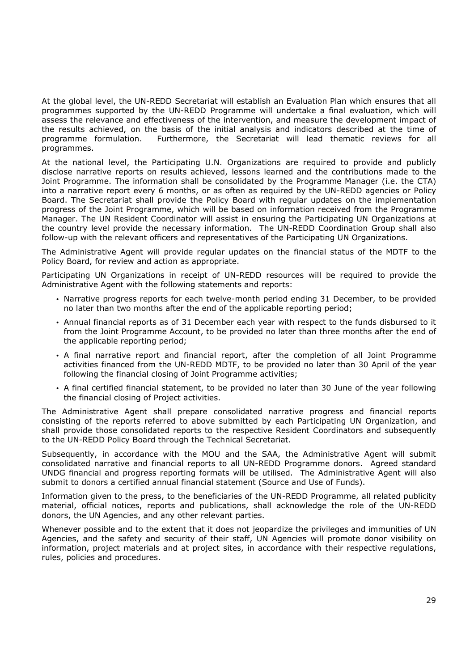At the global level, the UN-REDD Secretariat will establish an Evaluation Plan which ensures that all programmes supported by the UN-REDD Programme will undertake a final evaluation, which will assess the relevance and effectiveness of the intervention, and measure the development impact of the results achieved, on the basis of the initial analysis and indicators described at the time of programme formulation. Furthermore, the Secretariat will lead thematic reviews for all programmes.

At the national level, the Participating U.N. Organizations are required to provide and publicly disclose narrative reports on results achieved, lessons learned and the contributions made to the Joint Programme. The information shall be consolidated by the Programme Manager (i.e. the CTA) into a narrative report every 6 months, or as often as required by the UN-REDD agencies or Policy Board. The Secretariat shall provide the Policy Board with regular updates on the implementation progress of the Joint Programme, which will be based on information received from the Programme Manager. The UN Resident Coordinator will assist in ensuring the Participating UN Organizations at the country level provide the necessary information. The UN-REDD Coordination Group shall also follow-up with the relevant officers and representatives of the Participating UN Organizations.

The Administrative Agent will provide regular updates on the financial status of the MDTF to the Policy Board, for review and action as appropriate.

Participating UN Organizations in receipt of UN-REDD resources will be required to provide the Administrative Agent with the following statements and reports:

- Narrative progress reports for each twelve-month period ending 31 December, to be provided no later than two months after the end of the applicable reporting period;
- Annual financial reports as of 31 December each year with respect to the funds disbursed to it from the Joint Programme Account, to be provided no later than three months after the end of the applicable reporting period;
- A final narrative report and financial report, after the completion of all Joint Programme activities financed from the UN-REDD MDTF, to be provided no later than 30 April of the year following the financial closing of Joint Programme activities;
- A final certified financial statement, to be provided no later than 30 June of the year following the financial closing of Project activities.

The Administrative Agent shall prepare consolidated narrative progress and financial reports consisting of the reports referred to above submitted by each Participating UN Organization, and shall provide those consolidated reports to the respective Resident Coordinators and subsequently to the UN-REDD Policy Board through the Technical Secretariat.

Subsequently, in accordance with the MOU and the SAA, the Administrative Agent will submit consolidated narrative and financial reports to all UN-REDD Programme donors. Agreed standard UNDG financial and progress reporting formats will be utilised. The Administrative Agent will also submit to donors a certified annual financial statement (Source and Use of Funds).

Information given to the press, to the beneficiaries of the UN-REDD Programme, all related publicity material, official notices, reports and publications, shall acknowledge the role of the UN-REDD donors, the UN Agencies, and any other relevant parties.

Whenever possible and to the extent that it does not jeopardize the privileges and immunities of UN Agencies, and the safety and security of their staff, UN Agencies will promote donor visibility on information, project materials and at project sites, in accordance with their respective regulations, rules, policies and procedures.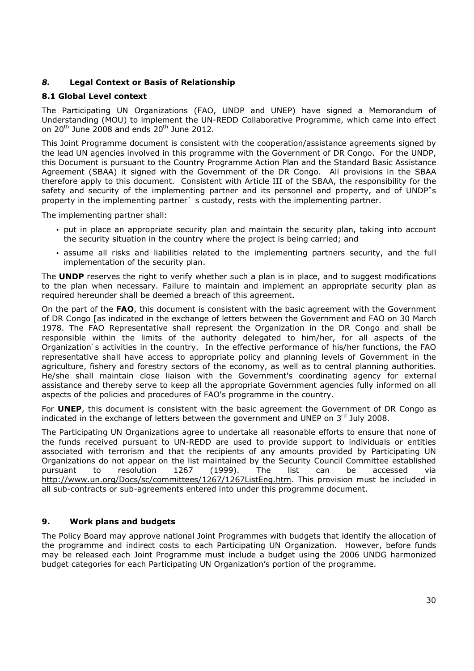# *8.* **Legal Context or Basis of Relationship**

## **8.1 Global Level context**

The Participating UN Organizations (FAO, UNDP and UNEP) have signed a Memorandum of Understanding (MOU) to implement the UN-REDD Collaborative Programme, which came into effect on 20<sup>th</sup> June 2008 and ends 20<sup>th</sup> June 2012.

This Joint Programme document is consistent with the cooperation/assistance agreements signed by the lead UN agencies involved in this programme with the Government of DR Congo. For the UNDP, this Document is pursuant to the Country Programme Action Plan and the Standard Basic Assistance Agreement (SBAA) it signed with the Government of the DR Congo. All provisions in the SBAA therefore apply to this document. Consistent with Article III of the SBAA, the responsibility for the safety and security of the implementing partner and its personnel and property, and of UNDP"s property in the implementing partner's custody, rests with the implementing partner.

The implementing partner shall:

- put in place an appropriate security plan and maintain the security plan, taking into account the security situation in the country where the project is being carried; and
- assume all risks and liabilities related to the implementing partners security, and the full implementation of the security plan.

The **UNDP** reserves the right to verify whether such a plan is in place, and to suggest modifications to the plan when necessary. Failure to maintain and implement an appropriate security plan as required hereunder shall be deemed a breach of this agreement.

On the part of the **FAO**, this document is consistent with the basic agreement with the Government of DR Congo [as indicated in the exchange of letters between the Government and FAO on 30 March 1978. The FAO Representative shall represent the Organization in the DR Congo and shall be responsible within the limits of the authority delegated to him/her, for all aspects of the Organization's activities in the country. In the effective performance of his/her functions, the FAO representative shall have access to appropriate policy and planning levels of Government in the agriculture, fishery and forestry sectors of the economy, as well as to central planning authorities. He/she shall maintain close liaison with the Government's coordinating agency for external assistance and thereby serve to keep all the appropriate Government agencies fully informed on all aspects of the policies and procedures of FAO's programme in the country.

For **UNEP**, this document is consistent with the basic agreement the Government of DR Congo as indicated in the exchange of letters between the government and UNEP on  $3<sup>rd</sup>$  July 2008.

The Participating UN Organizations agree to undertake all reasonable efforts to ensure that none of the funds received pursuant to UN-REDD are used to provide support to individuals or entities associated with terrorism and that the recipients of any amounts provided by Participating UN Organizations do not appear on the list maintained by the Security Council Committee established pursuant to resolution 1267 (1999). The list can be accessed via http://www.un.org/Docs/sc/committees/1267/1267ListEng.htm. This provision must be included in all sub-contracts or sub-agreements entered into under this programme document.

# **9. Work plans and budgets**

The Policy Board may approve national Joint Programmes with budgets that identify the allocation of the programme and indirect costs to each Participating UN Organization. However, before funds may be released each Joint Programme must include a budget using the 2006 UNDG harmonized budget categories for each Participating UN Organization's portion of the programme.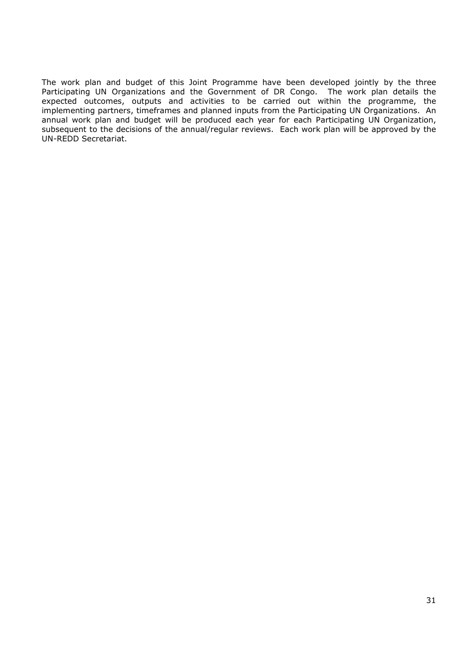The work plan and budget of this Joint Programme have been developed jointly by the three Participating UN Organizations and the Government of DR Congo. The work plan details the expected outcomes, outputs and activities to be carried out within the programme, the implementing partners, timeframes and planned inputs from the Participating UN Organizations. An annual work plan and budget will be produced each year for each Participating UN Organization, subsequent to the decisions of the annual/regular reviews. Each work plan will be approved by the UN-REDD Secretariat.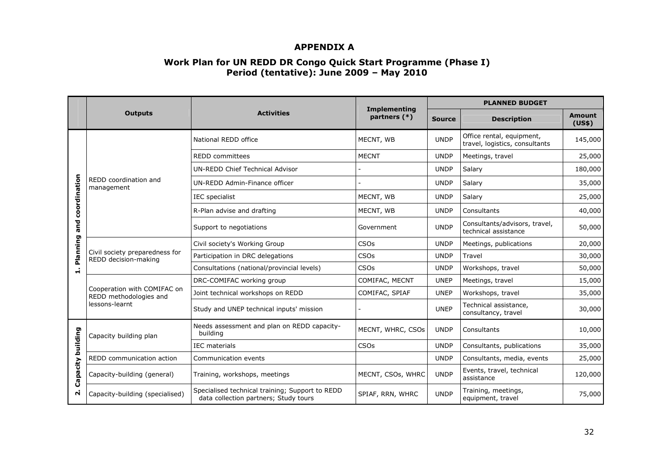# **APPENDIX A**

# **Work Plan for UN REDD DR Congo Quick Start Programme (Phase I) Period (tentative): June 2009 – May 2010**

|                        |                                                                                                                             | <b>Activities</b>                                       |                                       | <b>PLANNED BUDGET</b> |                                                             |                         |  |
|------------------------|-----------------------------------------------------------------------------------------------------------------------------|---------------------------------------------------------|---------------------------------------|-----------------------|-------------------------------------------------------------|-------------------------|--|
|                        | <b>Outputs</b>                                                                                                              |                                                         | <b>Implementing</b><br>partners $(*)$ | <b>Source</b>         | <b>Description</b>                                          | <b>Amount</b><br>(US\$) |  |
|                        |                                                                                                                             | National REDD office                                    | MECNT, WB                             | <b>UNDP</b>           | Office rental, equipment,<br>travel, logistics, consultants | 145,000                 |  |
|                        |                                                                                                                             | <b>REDD</b> committees                                  | <b>MECNT</b>                          | <b>UNDP</b>           | Meetings, travel                                            | 25,000                  |  |
|                        |                                                                                                                             | <b>UN-REDD Chief Technical Advisor</b>                  |                                       | <b>UNDP</b>           | Salary                                                      | 180,000                 |  |
| coordination           | REDD coordination and<br>management                                                                                         | UN-REDD Admin-Finance officer                           |                                       | <b>UNDP</b>           | Salary                                                      | 35,000                  |  |
|                        |                                                                                                                             | IEC specialist                                          | MECNT, WB                             | <b>UNDP</b>           | Salary                                                      | 25,000                  |  |
|                        |                                                                                                                             | R-Plan advise and drafting                              | MECNT, WB                             | <b>UNDP</b>           | Consultants                                                 | 40,000                  |  |
| and                    |                                                                                                                             | Support to negotiations                                 | Government                            | <b>UNDP</b>           | Consultants/advisors, travel,<br>technical assistance       | 50,000                  |  |
|                        |                                                                                                                             | Civil society's Working Group                           | <b>CSO<sub>s</sub></b>                | <b>UNDP</b>           | Meetings, publications                                      | 20,000                  |  |
| Planning<br>$\ddot{ }$ | Civil society preparedness for<br>REDD decision-making                                                                      | Participation in DRC delegations                        | CSOs                                  | <b>UNDP</b>           | Travel                                                      | 30,000                  |  |
|                        |                                                                                                                             | Consultations (national/provincial levels)              | <b>CSO<sub>s</sub></b>                | <b>UNDP</b>           | Workshops, travel                                           | 50,000                  |  |
|                        | Cooperation with COMIFAC on<br>REDD methodologies and<br>lessons-learnt                                                     | DRC-COMIFAC working group                               | COMIFAC, MECNT                        | <b>UNEP</b>           | Meetings, travel                                            | 15,000                  |  |
|                        |                                                                                                                             | Joint technical workshops on REDD                       | COMIFAC, SPIAF                        | <b>UNEP</b>           | Workshops, travel                                           | 35,000                  |  |
|                        |                                                                                                                             | Study and UNEP technical inputs' mission                |                                       | <b>UNEP</b>           | Technical assistance,<br>consultancy, travel                | 30,000                  |  |
|                        | Capacity building plan                                                                                                      | Needs assessment and plan on REDD capacity-<br>building | MECNT, WHRC, CSOs                     | <b>UNDP</b>           | Consultants                                                 | 10,000                  |  |
| building               |                                                                                                                             | <b>IEC</b> materials                                    | CSOs                                  | <b>UNDP</b>           | Consultants, publications                                   | 35,000                  |  |
| Capacity<br>N          | REDD communication action                                                                                                   | Communication events                                    |                                       | <b>UNDP</b>           | Consultants, media, events                                  | 25,000                  |  |
|                        | Capacity-building (general)                                                                                                 | Training, workshops, meetings                           | MECNT, CSOs, WHRC                     | <b>UNDP</b>           | Events, travel, technical<br>assistance                     | 120,000                 |  |
|                        | Specialised technical training; Support to REDD<br>Capacity-building (specialised)<br>data collection partners; Study tours |                                                         | SPIAF, RRN, WHRC                      | <b>UNDP</b>           | Training, meetings,<br>equipment, travel                    | 75,000                  |  |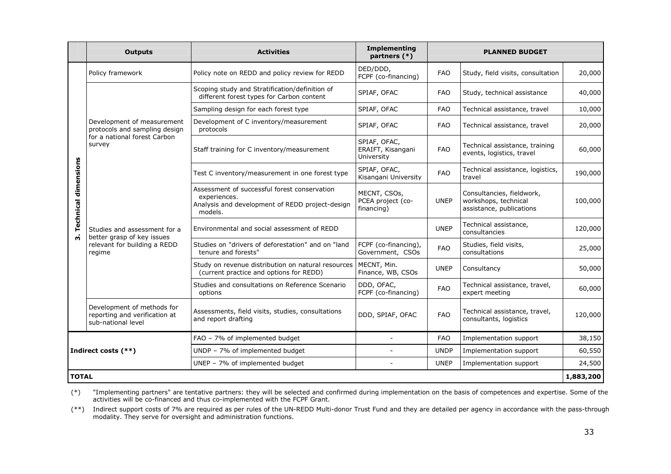|                             | <b>Outputs</b>                                                                                        | <b>Activities</b>                                                                                                          | <b>Implementing</b><br>partners (*)             | <b>PLANNED BUDGET</b> |                                                                               |           |
|-----------------------------|-------------------------------------------------------------------------------------------------------|----------------------------------------------------------------------------------------------------------------------------|-------------------------------------------------|-----------------------|-------------------------------------------------------------------------------|-----------|
|                             | Policy framework                                                                                      | Policy note on REDD and policy review for REDD                                                                             | DED/DDD,<br>FCPF (co-financing)                 | <b>FAO</b>            | Study, field visits, consultation                                             | 20,000    |
|                             | Development of measurement<br>protocols and sampling design<br>for a national forest Carbon<br>survey | Scoping study and Stratification/definition of<br>different forest types for Carbon content                                | SPIAF, OFAC                                     | <b>FAO</b>            | Study, technical assistance                                                   | 40,000    |
|                             |                                                                                                       | Sampling design for each forest type                                                                                       | SPIAF, OFAC                                     | <b>FAO</b>            | Technical assistance, travel                                                  | 10,000    |
|                             |                                                                                                       | Development of C inventory/measurement<br>protocols                                                                        | SPIAF, OFAC                                     | <b>FAO</b>            | Technical assistance, travel                                                  | 20,000    |
|                             |                                                                                                       | Staff training for C inventory/measurement                                                                                 | SPIAF, OFAC,<br>ERAIFT, Kisangani<br>University | <b>FAO</b>            | Technical assistance, training<br>events, logistics, travel                   | 60,000    |
|                             |                                                                                                       | Test C inventory/measurement in one forest type                                                                            | SPIAF, OFAC,<br>Kisangani University            | <b>FAO</b>            | Technical assistance, logistics,<br>travel                                    | 190,000   |
| <b>Technical dimensions</b> | Studies and assessment for a<br>better grasp of key issues<br>relevant for building a REDD<br>regime  | Assessment of successful forest conservation<br>experiences.<br>Analysis and development of REDD project-design<br>models. | MECNT, CSOs,<br>PCEA project (co-<br>financing) | <b>UNEP</b>           | Consultancies, fieldwork,<br>workshops, technical<br>assistance, publications | 100,000   |
|                             |                                                                                                       | Environmental and social assessment of REDD                                                                                |                                                 | <b>UNEP</b>           | Technical assistance,<br>consultancies                                        | 120,000   |
|                             |                                                                                                       | Studies on "drivers of deforestation" and on "land<br>tenure and forests"                                                  | FCPF (co-financing),<br>Government, CSOs        | <b>FAO</b>            | Studies, field visits,<br>consultations                                       | 25,000    |
|                             |                                                                                                       | Study on revenue distribution on natural resources<br>(current practice and options for REDD)                              | MECNT, Min.<br>Finance, WB, CSOs                | <b>UNEP</b>           | Consultancy                                                                   | 50,000    |
|                             |                                                                                                       | Studies and consultations on Reference Scenario<br>options                                                                 | DDD, OFAC,<br>FCPF (co-financing)               | <b>FAO</b>            | Technical assistance, travel,<br>expert meeting                               | 60,000    |
|                             | Development of methods for<br>reporting and verification at<br>sub-national level                     | Assessments, field visits, studies, consultations<br>and report drafting                                                   | DDD, SPIAF, OFAC                                | <b>FAO</b>            | Technical assistance, travel,<br>consultants, logistics                       | 120,000   |
|                             |                                                                                                       | FAO - 7% of implemented budget                                                                                             | $\overline{a}$                                  | <b>FAO</b>            | Implementation support                                                        | 38,150    |
|                             | Indirect costs (**)                                                                                   | UNDP - 7% of implemented budget                                                                                            |                                                 | <b>UNDP</b>           | Implementation support                                                        | 60,550    |
|                             |                                                                                                       | UNEP - 7% of implemented budget                                                                                            | $\overline{a}$                                  | <b>UNEP</b>           | Implementation support                                                        | 24,500    |
| <b>TOTAL</b>                |                                                                                                       |                                                                                                                            |                                                 |                       |                                                                               | 1,883,200 |

(\*) "Implementing partners" are tentative partners: they will be selected and confirmed during implementation on the basis of competences and expertise. Some of the<br>activities will be co-financed and thus co-implemented wi

 (\*\*) Indirect support costs of 7% are required as per rules of the UN-REDD Multi-donor Trust Fund and they are detailed per agency in accordance with the pass-through modality. They serve for oversight and administration functions.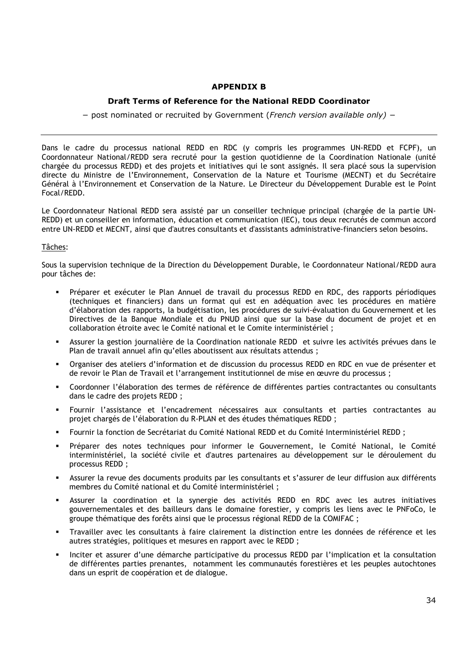## **APPENDIX B**

## **Draft Terms of Reference for the National REDD Coordinator**

− post nominated or recruited by Government (*French version available only) −* 

Dans le cadre du processus national REDD en RDC (y compris les programmes UN-REDD et FCPF), un Coordonnateur National/REDD sera recruté pour la gestion quotidienne de la Coordination Nationale (unité chargée du processus REDD) et des projets et initiatives qui le sont assignés. Il sera placé sous la supervision directe du Ministre de l'Environnement, Conservation de la Nature et Tourisme (MECNT) et du Secrétaire Général à l'Environnement et Conservation de la Nature. Le Directeur du Développement Durable est le Point Focal/REDD.

Le Coordonnateur National REDD sera assisté par un conseiller technique principal (chargée de la partie UN-REDD) et un conseiller en information, éducation et communication (IEC), tous deux recrutés de commun accord entre UN-REDD et MECNT, ainsi que d'autres consultants et d'assistants administrative-financiers selon besoins.

### Tâches:

Sous la supervision technique de la Direction du Développement Durable, le Coordonnateur National/REDD aura pour tâches de:

- Préparer et exécuter le Plan Annuel de travail du processus REDD en RDC, des rapports périodiques (techniques et financiers) dans un format qui est en adéquation avec les procédures en matière d'élaboration des rapports, la budgétisation, les procédures de suivi-évaluation du Gouvernement et les Directives de la Banque Mondiale et du PNUD ainsi que sur la base du document de projet et en collaboration étroite avec le Comité national et le Comite interministériel ;
- Assurer la gestion journalière de la Coordination nationale REDD et suivre les activités prévues dans le Plan de travail annuel afin qu'elles aboutissent aux résultats attendus ;
- Organiser des ateliers d'information et de discussion du processus REDD en RDC en vue de présenter et de revoir le Plan de Travail et l'arrangement institutionnel de mise en œuvre du processus ;
- Coordonner l'élaboration des termes de référence de différentes parties contractantes ou consultants dans le cadre des projets REDD ;
- Fournir l'assistance et l'encadrement nécessaires aux consultants et parties contractantes au projet chargés de l'élaboration du R-PLAN et des études thématiques REDD ;
- Fournir la fonction de Secrétariat du Comité National REDD et du Comité Interministériel REDD ;
- Préparer des notes techniques pour informer le Gouvernement, le Comité National, le Comité interministériel, la société civile et d'autres partenaires au développement sur le déroulement du processus REDD ;
- Assurer la revue des documents produits par les consultants et s'assurer de leur diffusion aux différents membres du Comité national et du Comité interministériel ;
- Assurer la coordination et la synergie des activités REDD en RDC avec les autres initiatives gouvernementales et des bailleurs dans le domaine forestier, y compris les liens avec le PNFoCo, le groupe thématique des forêts ainsi que le processus régional REDD de la COMIFAC ;
- Travailler avec les consultants à faire clairement la distinction entre les données de référence et les autres stratégies, politiques et mesures en rapport avec le REDD ;
- Inciter et assurer d'une démarche participative du processus REDD par l'implication et la consultation de différentes parties prenantes, notamment les communautés forestières et les peuples autochtones dans un esprit de coopération et de dialogue.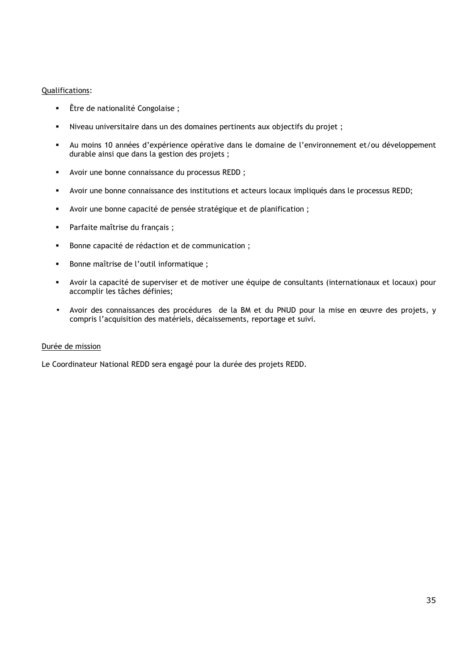#### Qualifications:

- Être de nationalité Congolaise ;
- Niveau universitaire dans un des domaines pertinents aux objectifs du projet ;
- Au moins 10 années d'expérience opérative dans le domaine de l'environnement et/ou développement durable ainsi que dans la gestion des projets ;
- Avoir une bonne connaissance du processus REDD ;
- Avoir une bonne connaissance des institutions et acteurs locaux impliqués dans le processus REDD;
- Avoir une bonne capacité de pensée stratégique et de planification ;
- Parfaite maîtrise du français ;
- Bonne capacité de rédaction et de communication ;
- Bonne maîtrise de l'outil informatique ;
- Avoir la capacité de superviser et de motiver une équipe de consultants (internationaux et locaux) pour accomplir les tâches définies;
- Avoir des connaissances des procédures de la BM et du PNUD pour la mise en œuvre des projets, y compris l'acquisition des matériels, décaissements, reportage et suivi.

#### Durée de mission

Le Coordinateur National REDD sera engagé pour la durée des projets REDD.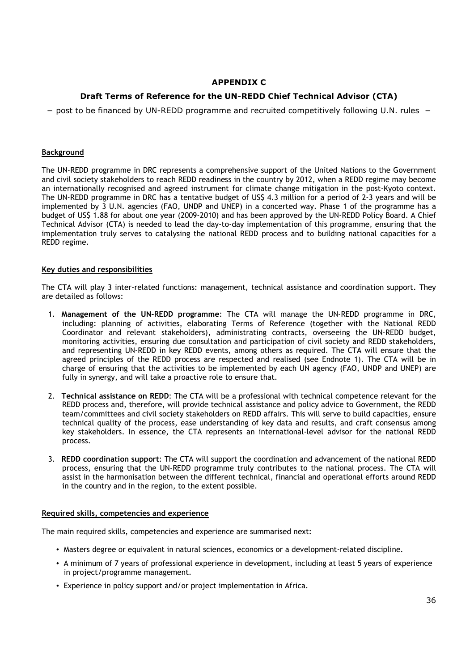## **APPENDIX C**

# **Draft Terms of Reference for the UN-REDD Chief Technical Advisor (CTA)**

− post to be financed by UN-REDD programme and recruited competitively following U.N. rules −

#### **Background**

The UN-REDD programme in DRC represents a comprehensive support of the United Nations to the Government and civil society stakeholders to reach REDD readiness in the country by 2012, when a REDD regime may become an internationally recognised and agreed instrument for climate change mitigation in the post-Kyoto context. The UN-REDD programme in DRC has a tentative budget of US\$ 4.3 million for a period of 2-3 years and will be implemented by 3 U.N. agencies (FAO, UNDP and UNEP) in a concerted way. Phase 1 of the programme has a budget of US\$ 1.88 for about one year (2009-2010) and has been approved by the UN-REDD Policy Board. A Chief Technical Advisor (CTA) is needed to lead the day-to-day implementation of this programme, ensuring that the implementation truly serves to catalysing the national REDD process and to building national capacities for a REDD regime.

#### **Key duties and responsibilities**

The CTA will play 3 inter-related functions: management, technical assistance and coordination support. They are detailed as follows:

- 1. **Management of the UN-REDD programme**: The CTA will manage the UN-REDD programme in DRC, including: planning of activities, elaborating Terms of Reference (together with the National REDD Coordinator and relevant stakeholders), administrating contracts, overseeing the UN-REDD budget, monitoring activities, ensuring due consultation and participation of civil society and REDD stakeholders, and representing UN-REDD in key REDD events, among others as required. The CTA will ensure that the agreed principles of the REDD process are respected and realised (see Endnote 1). The CTA will be in charge of ensuring that the activities to be implemented by each UN agency (FAO, UNDP and UNEP) are fully in synergy, and will take a proactive role to ensure that.
- 2. **Technical assistance on REDD**: The CTA will be a professional with technical competence relevant for the REDD process and, therefore, will provide technical assistance and policy advice to Government, the REDD team/committees and civil society stakeholders on REDD affairs. This will serve to build capacities, ensure technical quality of the process, ease understanding of key data and results, and craft consensus among key stakeholders. In essence, the CTA represents an international-level advisor for the national REDD process.
- 3. **REDD coordination support**: The CTA will support the coordination and advancement of the national REDD process, ensuring that the UN-REDD programme truly contributes to the national process. The CTA will assist in the harmonisation between the different technical, financial and operational efforts around REDD in the country and in the region, to the extent possible.

#### **Required skills, competencies and experience**

The main required skills, competencies and experience are summarised next:

- Masters degree or equivalent in natural sciences, economics or a development-related discipline.
- A minimum of 7 years of professional experience in development, including at least 5 years of experience in project/programme management.
- Experience in policy support and/or project implementation in Africa.